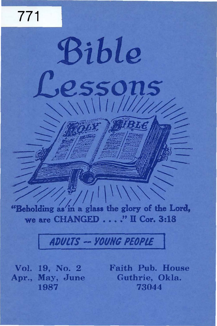"Beholding as in a glass the glory of the Lord, we are CHANGED . . . ." II Cor. 3:18

Bible

essons

 $\frac{1}{\sqrt{2}}$ 

# **ADULTS -- YOUNG PEOPLE**

Vol. 19, No. 2 Apr., May, June 1987

771

Faith Pub. House Guthrie, Okla. 73044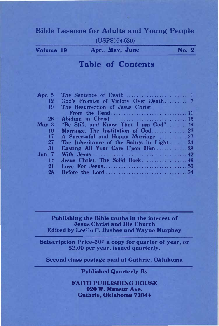# Bible Lessons for Adults and Young People ( USPS054-6RO)

| Volume 19 | Apr., May, June | <b>No. 2</b> |
|-----------|-----------------|--------------|
|           |                 |              |

# Table of Contents

| Apr. $5$   |                                                                            |  |
|------------|----------------------------------------------------------------------------|--|
| 12         |                                                                            |  |
| 19         | The Resurrection of Jesus Christ                                           |  |
|            |                                                                            |  |
| 26         |                                                                            |  |
| $M$ av $3$ | "Be Still, and Know That I am $God$ " 19                                   |  |
| 10         |                                                                            |  |
| 17         |                                                                            |  |
| 27         | The Inheritance of the Saints in Light34                                   |  |
| 31         | Casting All Your Care Upon $\text{Him}$ 38                                 |  |
| $Jun$ . 7  | With $J$ esus $\ldots$ , $\ldots$ , $\ldots$ , $\ldots$ , $\qquad$         |  |
| 14         | Jesus Christ. The Solid Rock 46                                            |  |
| 21         |                                                                            |  |
| 28         | Before the Lord $\dots \dots \dots \dots \dots \dots \dots \dots \dots 54$ |  |
|            |                                                                            |  |

Publishing the Bible truths in the interest of Jesus Christ and His Church Edited by Leslie C. Busbee and Wayne Murphey

Subscription l'rice-50 $\epsilon$  a copy for quarter of year, or \$2.00 per year, issued quarterly.

Second class postage paid at Guthrie, Oklahoma

## Published Quarterly By

FAITH PUBLISHING HOUSE 920 W. Mansur Ave. Guthrie, Oklahoma 73044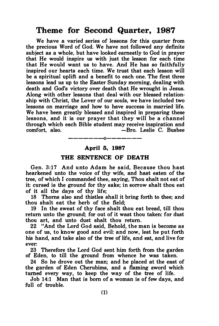# Theme for Second Quarter, 1987

We have a varied series of lessons for this quarter from the precious Word of God. We have not followed any definite subject as a whole, but have looked earnestly to God in prayer that He would inspire us with just the lesson for each time that He would want us to have. And He has so faithfully inspired our hearts each time. We trust that each lesson will be a spiritual uplift and a benefit to each one. The first three lessons lead us up to the Easter Sunday morning, dealing with death and God's victory over death that He wrought in Jesus. Along with other lessons that deal with our blessed relationship with Christ, the Lover of our souls, we have included two lessons on marriage and how to have success in married life. We have been greatly blessed and inspired in preparing these lessons, and it is our prayer that they will be a channel through which each Bible student may receive inspiration and -Bro. Leslie C. Busbee

#### April 5, 1987

 $-0$  – – – –

#### THE SENTENCE OF DEATH

Gen. 3:17 And u nto Adam he said, Because thou hast hearkened unto the voice of thy wife, and hast eaten of the tree, of which I commanded thee, saying, Thou shalt not eat of it: cursed is the ground for thy sake; in sorrow shalt thou eat of it all the days of thy life;

18 Thoms also and thistles shall it bring forth to thee; and thou shalt eat the herb of the field;

19 In the sweat of thy face shalt thou eat bread, till thou return unto the ground; for out of it wast thou taken: for dust thou art, and unto dust shalt thou return.

22 "And the Lord God said, Behold, the man is become as one of us, to know good and evil: and now, lest he put forth his hand, and take also of the tree of life, and eat, and live for ever:

23 Therefore the Lord God sent him forth from the garden of Eden, to till the ground from whence he was taken.

24 So he drove out the man; and he placed at the east of the garden of Eden Cherubims, and a flaming sword which turned every way, to keep the way of the tree of life.

Job 14:1 Man that is born of a woman is of few days, and full of trouble.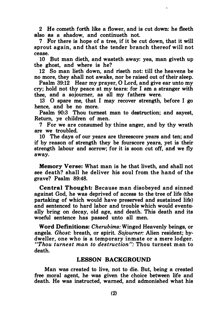2 He cometh forth like a flower, and is cut down: he tleeth also as a shadow, and continueth not.

7 For there is hope of a tree, if it be cut down, that it will sprout again, and that the tender branch thereof will not cease.

10 But man dieth, and wasteth away: yea, man giveth up the ghost, and where is he?

12 So man lieth down, and riseth not: till the heavens be no more, they shall not awake, nor be raised out of their sleep.

Psalm 39:12 Hear my prayer, 0 Lord, and give ear unto my cry; hold not thy peace at my tears: for I am a stranger with thee, and a sojourner, as all my fathers were.

13 0 spare me, that I may recover strength, before I go hence, and be no more.

Psalm 90:3 Thou tumest man to destruction; and sayest, Return, ye children of men.

7 For we are consumed by thine anger, and by thy wrath are we troubled.

10 The days of our years are threescore years and ten; and if by reason of strength they be fourscore years, yet is their strength labour and sorrow; for it is soon cut off, and we fly away.

Memory Verse: What man is he that liveth, and shall not see death? shall he deliver his soul from the hand of the grave? Psalm 89:48.

Central Thought: Because man disobeyed and sinned against God, he was deprived of access to the tree of life (the partaking of which would have preserved and sustained life) and sentenced to hard labor and trouble which would eventually bring on decay, old age, and death. This death and its woeful sentence has passed unto all men.

Word Definitions: Cherubims: Winged Heavenly beings, or angels. Ghost: breath, or spirit. Sojourner: Alien resident; bydweller, one who is a temporary inmate or a mere lodger. "Thou turnest man to destruction": Thou turnest man to death.

## LESSON BACKGROUND

Man was created to live, not to die. But, being a created free moral agent, he was given the choice between life and death. He was instructed, warned, and admonished what his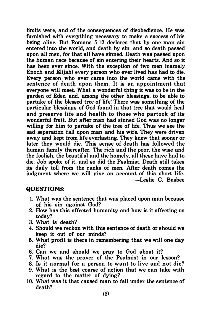limits were, and of the consequences of disobedience. He was furnished with everything necessary to make a success of his being alive. But Romans 5:12 declares that by one man sin entered into the world, and death by sin; and so death passed upon all men, for that all have sinned. Death was passed upon the human race because of sin entering their hearts. And so it has been ever since. With the exception of two men (namely Enoch and Elijah) every person who ever lived has had to die. Every person who ever came into the world came with the sentence of death upon them. It is an appointment that everyone will meet. What a wonderful thing it was to be in the garden of Eden and, among the other blessings, to be able to partake of the blessed tree of life! There was something of the particular blessings of God found in that tree that would heal and preserve life and health to those who partook of its wonderful fruit. But after man had sinned God was no longer willing for him to partake of the tree of life. Thus we see the sad separation fall upon man and his wife. They were driven away and kept from life everlasting. They knew that sooner or later they would die. This sense of death has followed the human family thereafter. The rich and the poor, the wise and the foolish, the beautiful and the homely, all these have had to die. Job spoke of it, and so did the Psalmist. Death still takes its daily toll from the ranks of men. After death comes the judgment where we will give an account of this short life. -Leslie C. Busbee

## QUESTIONS:

- 1. What was the sentence that was placed upon man because of his sin against God?
- 2. How has this affected humanity and how is it affecting us today?
- 3. What is death?
- 4. Should we reckon with this sentence of death or should we keep it out of our minds?
- 5. What profit is there in remembering that we will one day die?
- 6. Can we and should we pray to God about it?
- 7. What was the prayer of the Psalmist in our lesson?
- 8. Is it normal for a person to want to live and not die?
- 9. What is the best course of action that we can take with regard to the matter of dying?
- 10. What was it that caused man to fall under the sentence of death?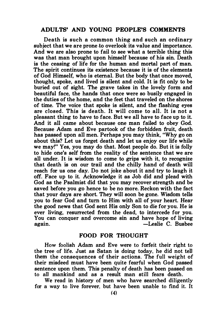#### ADULTS' AND YOUNG PEOPLE'S COMMENTS

Death is such a common thing and such an ordinary subject that we are prone to overlook its value and importance. And we are also prone to fail to see what a terrible thing this was that man brought upon himself because of his sin. Death is the ceasing of life for the human and mortal part of man. The spirit continues its existence because it is of the elements of God Himself, who is eternal. But the body that once moved, thought, spoke, and lived is silent and cold. It is fit only to be buried out of sight. The grave takes in the lovely form and beautiful face, the hands that once were so busily engaged in the duties of the home, and the feet that traveled on the shores of time. The voice that spoke is silent, and the flashing eyes are closed. This is death. It will come to all. It is not a pleasant thing to have to face. But we all have to face up to it. And it all came about because one man failed to obey God. Because Adam and Eve partook of the forbidden fruit, death has passed upon all men. Perhaps you may think, "Why go on about this? Let us forget death and let us enjoy our life while we may!" Yes, you may do that. Most people do. But it is folly to hide one's self from the reality of the sentence that we are all under. It is wisdom to come to grips with it, to recognize that death is on our trail and the chilly hand of death will reach for us one day. Do not joke about it and try to laugh it off. Face up to it. Acknowledge it as Job did and plead with God as the Psalmist did that you may recover strength and be saved before you go hence to be no more. Reckon with the fact that your days are short. They will soon be gone. Wisdom tells you to fear God and tum to Him with all of your heart. Hear the good news that God sent His only Son to die for you. He is ever living, resurrected from the dead, to intercede for you. You can conquer and overcome sin and have hope of living again. The set of the set of the set of the set of the set of the set of the set of the set of the set of the set of the set of the set of the set of the set of the set of the set of the set of the set of the set of the se

# FOOD FOR THOUGHT

How foolish Adam and Eve were to forfeit their right to the tree of life. Just as Satan is doing today, he did not telJ them the consequences of their actions. The full weight of their misdeed must have been quite fearful when God passed sentence upon them. This penalty of death has been passed on to alJ mankind and as a result man still fears death.

We read in history of men who have searched diligently for a way to live forever, but have been unable to find it. It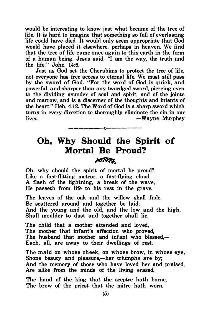would be interesting to know just what became of the tree of life. It is hard to imagine that something so full of everlasting life could have died. It would only seem appropriate that God would have placed it elsewhere, perhaps in heaven. We find that the tree of life came once again to this earth in the form of a human being. Jesus said, "I am the way, the truth and the life." John 14:6.

Just as God set the Cherubims to protect the tree of life, not everyone has free access to eternal life. We must still pass by the sword of God. "For the word of God is quick, and powerful, and sharper than any twoedged sword, piercing even to the dividing asunder of soul and spirit, and of the joints and marrow, and is a discerner of the thoughts and intents of the heart." Heb. 4:12. The Word of God is a sharp sword which turns in every direction to thoroughly eliminate the sin in our lives. The same state of the set of the set of the set of the set of the set of the set of the set of the set o

# Oh, Why Should the Spirit of Mortal Be Proud? **ROOM**

————————————————————

Oh, why should the spirit of mortal be proud? Like a fast-flitting meteor, a fast-flying cloud, A flash of the lightning, a break of the wave, He passeth from life to his rest in the grave.

The leaves of the oak and the willow shall fade, Be scattered around and together be laid; And the young and the old, and the low and the high, Shall moulder to dust and together shall lie.

The child that a mother attended and loved, The mother that infant's affection who proved, The husband that mother and infant who blessed.-Each, all, are away to their dwellings of rest.

The maid on whose cheek, on whose brow, in whose eye, Shone beauty and pleasure,—her triumphs are by; And the memory of those who have loved her and praised, Are alike from the minds of the living erased.

The hand of the king that the sceptre hath borne, The brow of the priest that the mitre hath worn,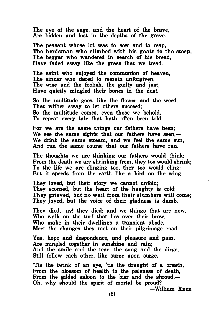The eye of the sage, and the heart of the brave, Are bidden and lost in the depths of the grave.

The peasant whose lot was to sow and to reap, The herdsman who climbed with his goats to the steep, The beggar who wandered in search of his bread, Have faded away like the grass that we tread.

The saint who enjoyed the communion of heaven, The sinner who dared to remain unforgiven, The wise and the foolish, the guilty and just, Have quietly mingled their bones in the dust.

So the multitude goes, like the flower and the weed, That wither away to let others succeed; So the multitude comes, even those we behold, To repeat every tale that hath often been told.

For we are the same things our fathers have been; We see the same sights that our fathers have seen. $-$ We drink the same stream, and we feel the same sun, And run the same course that our fathers have run.

The thoughts we are thinking our fathers would think; From the death we are shrinking from, they too would shrink; To the life we are clinging too, they too would cling: But it speeds from the earth like a bird on the wing.

They loved, but their story we cannot unfold; They scorned, but the heart of the haughty is cold; They grieved, but no wail from their slumbers will come; They joyed, but the voice of their gladness is dumb.

They died,—ay! they died; and we things that are now, Who walk on the turf that lies over their brow, Who make in their dwellings a transient abode, Meet the changes they met on their pilgrimage road.

Yea, hope and despondence, and pleasure and pain, Are mingled together in sunshine and rain; And the smile and the tear, the song and the dirge, Still follow each other, like surge upon surge.

'Tis the twink of an eye, 'tis the draught of a breath, From the blossom of health to the paleness of death, From the gilded saloon to the bier and the shroud, Oh, why should the spirit of mortal be proud?

-William Knox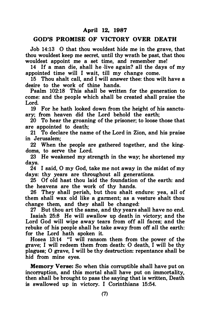### April 12, 1987

# GOD'S PROMISE OF VICTORY OVER DEATH

Job 14:13 0 that thou wouldest hide me in the grave, that thou wouldest keep me secret, until thy wrath be past, that thou wouldest appoint me a set time, and remember me!

14 If a man die, shall he ·live again? all the days of my appointed time will I wait, till my change come.

15 Thou shalt call, and I will answer thee: thou wilt have a desire to the work of thine hands.

Psalm 102:18 This shall be written for the generation to come: and the people which shall be created shall praise the Lord.

19 For he hath looked down from the height of his sanctuary; from heaven did the Lord behold the earth;

20 To hear the groaning of the prisoner; to loose those that are appointed to death;

21 To declare the name of the Lord in Zion, and his praise in Jerusalem;

22 When the people are gathered together, and the kingdoms, to serve the Lord.

23 He weakened my strength in the way; he shortened my days.

24 I said, 0 my God, take me not away in the midst of my days: thy years are throughout all generations.

25 Of old hast thou laid the foundation of the earth: and the heavens are the work of thy hands.

26 They shall perish, but thou shalt endure: yea, all of them shall wax old like a garment; as a vesture shalt thou change them, and they shall be changed:

27 But thou art the same, and thy years shall have no end. Isaiah 25:8 He will swallow up death in victory; and the Lord God will wipe away tears from off all faces; and the rebuke of his people shall he take away from off all the earth: for the Lord hath spoken it.

Hosea 13:14 "I will ransom them from the power of the grave; I will redeem them from death: 0 death, I will be thy plagues; 0 grave, I will be thy destruction: repentance shall be hid from mine eyes.

Memory Verse: So when this corruptible shall have put on incorruption, and this mortal shall have put on immortality, then shall be brought to pass the saying that is written, Death is swallowed up in victory. I Corinthians 15:54.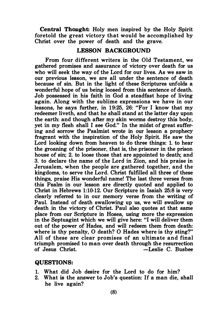Central Thought: Holy men inspired by the Holy Spirit foretold the great victory that would be accomplished by Christ over the power of death and the grave.

# LESSON BACKGROUND

From four different writers in the Old Testament, we gathered promises and assurance of victory over death for us who will seek the way of the Lord for our lives. As we saw in our previous lesson, we are all under the sentence of death because of sin. But in the light of these Scriptures unfolds a wonderful hope of us being loosed from this sentence of death. Job possessed in his faith in God a steadfast hope of living again. Along with the sublime expressions we have in our lessons, he says further, in 19:25, 26: "For I know that my redeemer liveth, and that he shall stand at the latter day upon the earth: and though after my skin worms destroy this body, yet in my flesh shall I see God." In the midst of great suffering and sorrow the Psalmist wrote in our lesson a prophecy fragrant with the inspiration of the Holy Spirit. He saw the Lord looking down from heaven to do three things: 1. to hear the groaning of the prisoner, that is, the prisoner in the prison house of sin; 2. to loose those that are appointed to death; and 3. to declare the name of the Lord in Zion, and his praise in Jerusalem, when the people are gathered together, and the kingdoms, to serve the Lord. Christ fulfilled all three of these things, praise His wonderful name! The last three verses from this Psalm in our lesson are directly quoted and applied to Christ in Hebrews 1:10-12. Our Scripture in Isaiah 25:8 is very clearly referred to in our memory verse from the writing of Paul. Instead of death swallowing up us, we will swallow up death in the victory of Christ. Paul also quotes at that same place from our Scripture in Hosea, using more the expression in the Septuagint which we will give here: "I will deliver them out of the power of Hades, and will redeem them from death: where is thy penalty, O death? O Hades where is thy sting?" All of these are clear promises of an ultimate and final triumph promised to man over death through the resurrection<br>of Jesus Christ. <br>eslie C. Busbee  $-L$ eslie C. Busbee

#### QUESTIONS:

- 1. What did Job desire for the Lord to do for him?
- 2. What is the answer to Job's question: If a man die, shall he live again?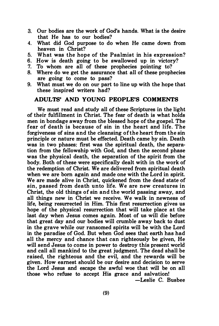- 3. Our bodies are the work of God's hands. What is the desire that He has to our bodies?
- 4. What did God purpose to do when He came down from heaven in Christ?
- 5. What was the hope of the Psalmist in his expression?
- 6. How is death going to be swallowed up in victory?
- 7. To whom are all of these prophecies pointing to?
- 8. Where do we get the assurance that all of these prophecies are going to come to pass?
- 9. What must we do on our part to line up with the hope that these inspired writers had?

# ADULTS' AND YOUNG PEOPLE'S COMMENTS

We must read and study all of these Scriptures in the light of their fulfillment in Christ. The fear of death is what holds men in bondage away from the blessed hope of the gospel. The fear of death is because of sin in the heart and life. The forgiveness of sins and the cleansing of the heart from the sin principle or nature must be effected. Death came by sin. Death was in two phases: first was the spiritual death, the separation from the fellowship with God, and then the second phase was the physical death, the separation of the spirit from the body. Both of these were specifically dealt with in the work of the redemption of Christ. We are delivered from spiritual death when we are born again and made one with the Lord in spirit. We are made alive in Christ, quickened from the dead state of sin, passed from death unto life. We are new creatures in Christ, the old things of sin and the world passing away, and all things new in Christ we receive. We walk in newness of life, being resurrected in Him. This first resurrection gives us hope of the physical resurrection that will take place at the last day when Jesus comes again. Most of us will die before that great day and our bodies will crumble away back to dust in the grave while our ransomed spirits will be with the Lord in the paradise of God. But when God sees that earth has had all the mercy and chance that can righteously be given, He will send Jesus to come in power to destroy this present world and call all mankind to the great judgment. The dead shall be raised, the righteous and the evil, and the rewards will be given. How earnest should be our desire and decision to serve the Lord Jesus and escape the awful woe that will be on all those who refuse to accept His grace and salvation!

-Leslie C. Busbee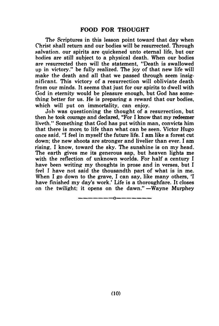The Scriptures in this lesson point toward that day when Christ shall return and our bodies will be resurrected. Through salvation. our spirits are quickened unto eternal life, but our bodies are stil1 subject to a physical death. When our bodies are resurrected then will the statement, "Death is swallowed up in victory." be fully realized. The joy of that new life will make the death and all that we passed through seem insignificant. This victory of a resurrection will obliviate death from our minds. It seems that just for our spirits to dwell with God in eternity would be pleasure enough, but God has something better for us. He is preparing a reward that our bodies, which will put on immortality, can enjoy.

Job was questioning the thought of a resurrection, but then he took courage and declared, "For I know that my redeemer liveth." Something that God has put within man, convicts him that there is more to life than what can be seen. Victor Hugo once said, "I feel in myself the future life. I am like a forest cut down; the new shoots are stronger and livelier than ever. I am rising, I know, toward the sky. The sunshine is on my head. The earth gives me its generous sap, but heaven lights me with the reflection of unknown worlds. For half a century I have been writing my thoughts in prose and in verses, but I feel I have not said the thousandth part of what is in me. When I go down to the grave, I can say, like many others, 'I have finished my day's work.' Life is a thoroughfare. It closes on the twilight; it opens on the dawn."—Wayne Murphey

\_\_\_\_\_\_\_\_<sub>\_\_</sub>\_\_\_\_\_\_\_\_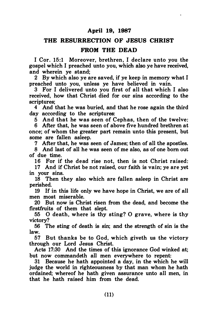# April 19, 1987

# THE RESURRECTION OF JESUS CHRIST

# FROM THE DEAD

I Cor. 15:1 Moreover, brethren, I declare unto you the gospel which I preached unto you, which also ye have received, and wherein ye stand;

2 By which also ye are saved, if ye keep in memory what I preached unto you, unless ye have believed in vain.

3 For I delivered unto you first of all that which I also received, how that Christ died for our sins according to the scriptures;

4 And that he was buried, and that he rose again the third day according to the scriptures:

5 And that he was seen of Cephas, then of the twelve:

6 After that, he was seen of above five hundred brethren at once; of whom the greater part remain unto this present, but some are fallen asleep.

7 After that, he was seen of James; then of all the apostles.

8 And last of all he was seen of me also, as of one hom out of due time.

16 For if the dead rise not, then is not Christ raised: 17 And if Christ be not raised, our faith is vain; ye are yet in your sins.

18 Then they also which are fallen asleep in Christ are perished.

19 If in this life only we have hope in Christ, we are of all men most miserable.

20 But now is Christ risen from the dead, and become the firstfruits of them that slept.

55 0 death, where is thy sting? 0 grave, where is thy victory?

56 The sting of death is sin; and the strength of sin is the law.

57 But thanks be to God, which giveth us the victory through our Lord Jesus Christ.

Acts 17:30 And the times of this ignorance God winked at; but now commandeth all men everywhere to repent:

31 Because he hath appointed a day, in the which he will judge the world in righteousness by that man whom he hath ordained; whereof he hath given assurance unto all men, in that he hath raised him from the dead.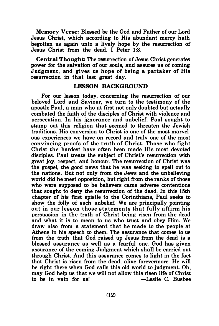Memory Verse: Blessed be the God and Father of our Lord Jesus Christ, which according to His abundant mercy hath begotten us again unto a lively hope by the resurrection of Jesus Christ from the dead. I Peter 1:3.

Central Thought: The resurrection of Jesus Christ generates power for the salvation of our souls, and assures us of coming Judgment, and gives us hope of being a partaker of His resurrection in that last great day.

# LESSON BACKGROUND

For our lesson today, concerning the resurrection of our beloved Lord and Saviour, we turn to the testimony of the apostle Paul, a man who at first not only doubted but actually combated the faith of the disciples of Christ with violence and persecution. In his ignorance and unbelief, Paul sought to stamp out this religion that seemed to threaten the Jewish traditions. His conversion to Christ is one of the most marvelous experiences we have on record and truly one of the most convincing proofs of the truth of Christ. Those who fight Christ the hardest have often been made His most devoted disciples. Paul treats the subject of Christ's resurrection with great joy, respect, and honour. The resurrection of Christ was the gospel, the good news that he was seeking to spell out to the nations. But not only from the Jews and the unbelieving world did he meet opposition, but right from the ranks of those who were supposed to be believers came adverse contentions that sought to deny the resurrection of the dead. In this 15th chapter of his first epistle to the Corinthians, Paul seeks to show the folly of such unbelief. We are principally pointing out in our lesson those statements that fully affirm his persuasion in the truth of Christ being risen from the dead and what it is to mean to us who trust and obey Him. We draw also from a statement that he made to the people at Athens in his speech to them. The assurance that comes to us from the truth that God raised up Jesus from the dead is a blessed assurance as well as a fearful one. God has given assurance of the coming Judgment which shall be carried out through Christ. And this assurance comes to light in the fact that Christ is risen from the dead, alive forevermore. He will be right there when God calls this old world to judgment. Oh, may God help us that we will not allow this risen life of Christ<br>to be in vain for us!<br>— Leslie C. Bushee to be in vain for us!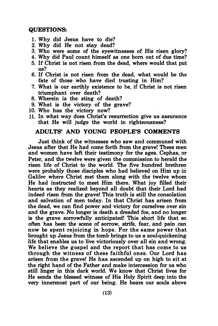# QUESTIONS:

- 1. Why did Jesus have to die?
- 2. Why did He not stay dead?
- 3. Who were some of the eyewitnesses of His risen glory?
- 4. Why did Paul count himself as one born out of due time?
- 5. If Christ is not risen from the dead, where would that put us?
- 6. If Christ is not risen from the dead, what would be the fate of those who have died trusting in Him?
- 7. What is our earthly existence to be, if Christ is not risen triumphant over death?
- 8. Wherein is the sting of death?
- 9. What is the victory of the grave?
- 10. Who has the victory now?
- 11. In what way does Christ's resurrection give us assurance that He will judge the world in righteousness?

# ADULTS' AND YOUNG PEOPLE'S COMMENTS

Just think of the witnesses who saw and communed with Jesus after that He had come forth from the grave! These men and women have left their testimony for the ages. Cephas, or Peter, and the twelve were given the commission to herald the risen life of Christ to the world. The five hundred brethren were probably those disciples who had believed on Him up in Galilee where Christ met them along with the twelve whom He had instructed to meet Him there. What joy filled their hearts as they realized beyond all doubt that their Lord had indeed risen from the grave! This truth is still the consolation and salvation of men today. In that Christ has arisen from the dead, we can find power and victory for ourselves over sin and the grave. No longer is death a dreaded foe, and no longer is the grave sorrowfully anticipated! This short life that so often has been the scene of sorrow, strife, fear, and pain can now be spent rejoicing in hope. For the same power that brought up Jesus from the tomb brings to us a soul-quickening life that enables us to live victoriously over all sin and wrong. We believe the gospel and the report that has come to us through the witness of these faithful ones. Our Lord has arisen from the grave! He has ascended up on high to sit at the right hand of the Father and make intercession for us who still linger in this dark world. We know that Christ lives for He sends the blessed witness of His Holy Spirit deep into the very innermost part of our being. He bears our souls above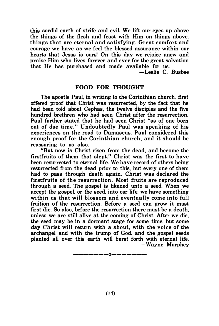this sordid earth of strife and evil. We lift our eyes up above the things of the flesh and feast with Him on things above, things that are eternal and satisfying. Great comfort and courage we have as we ·feel the blessed assurance within our hearts that Jesus is ours! On this day we rejoice anew and praise Him who lives forever and ever for the great salvation that He has purchased and made available for us.

-Leslie C. Busbee

#### FOOD FOR THOUGHT

The apostle Paul, in writing to the Corinthian church, first offered proof that Christ was resurrected, by the fact that he had been told about Cephas, the twelve disciples and the five hundred brethren who had seen Christ after the resurrection. Paul further stated that he had seen Christ "as of one born out of due time." Undoubtedly Paul was speaking of his experiences on the road to Damascus. Paul considered this enough proof for the Corinthian church, and it should be reassuring to us also.

"But now is Christ risen from the dead, and become the firstfruits of them that slept." Christ was the first to have been resurrected to eternal life. We have record of others being resurrected from the dead prior to this, but every one of them had to pass through death again. Christ was declared the firstfruits of the resurrection. Most fruits are reproduced through a seed. The gospel is likened unto a seed. When we accept the gospel, or the seed, into our life, we have something within us that will blossom and eventually come into full fruition of the resurrection. Before a seed can grow it must first die. So also, before the resurrection there must be a death. unless we are still alive at the coming of Christ. After we die. the seed may be in a dormant stage for some time, but some day Christ will return with a shout, with the voice of the archangel and with the trump of God, and the gospel seeds planted all over this earth will burst forth with eternal life. -Wayne Murphey

-------0-------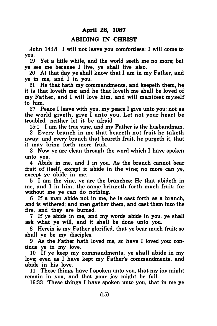# April 26, 1987

#### ABIDING IN CHRIST

John 14:18 I will not leave you comfortless: I will come to you.

19 Yet a little while, and the world seeth me no more; but ye see me because I live, ye shall live also.

20 At that day ye shall know that I am in my Father, and ye in me, and I in you.

21 He that hath my commandments, and keepeth them, he it is that loveth me: and he that loveth me shall be loved of my Father, and I will love him, and will manifest myself to him.

27 Peace I leave with you, my peace I give unto you: not as the world giveth, give I unto you. Let not your heart be troubled, neither let it be afraid.

15:1 I am the true vine, and my Father is the husbandman. 2 Every branch in me that beareth not fruit he taketh away: and every branch that beareth fruit, he purgeth it, that it may bring forth more fruit.

3 Now ye are clean through the word which I have spoken unto you.

4 Abide in me, and I in you. As the branch cannot bear fruit of itself, except it abide in the vine; no more can ye, except ye abide in me.

5 I am the vine, ye are the branches: He that abideth in me, and I in him, the same bringeth forth much fruit: for without me ye can do nothing.

6 If a man abide not in me, he is cast forth as a branch, and is withered; and men gather them, and cast them into the fire, and they are burned.

7 If ye abide in me, and my words abide in you, ye shall ask what ve will, and it shall be done unto you.

8 Herein is my Father glorified, that ye bear much fruit; so shall ye be my disciples.

9 As the Father hath loved me, so have I loved you: continue ye in my love.

10 If ye keep my commandments, ye shall abide in my love; even as I have kept my Father's commandments, and abide in his love.

11 These things have I spoken unto you, that my joy might remain in you, and that your joy might be full.

16:33 These things I have spoken unto you, that in me ye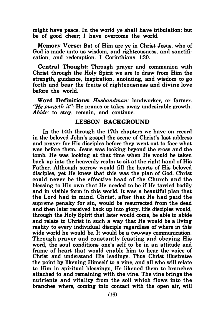might have peace. In the world ye shall have tribulation: but be of good cheer; I have overcome the world.

Memory Verse: But of Him are ye in Christ Jesus, who of God is made unto us wisdom, and righteousness, and sanctification, and redemption. I Corinthians 1:30.

Central Thought: Through prayer and communion with Christ through the Holy Spirit we are to draw from Him the strength, guidance, inspiration, anointing, and wisdom to go forth and bear the fruits of righteousness and divine love before the world.

Word Definitions: Husbandman: landworker, or farmer. "He purgeth it": He prunes or takes away undesirable growth. Abide: to stay, remain, and continue.

#### LESSON BACKGROUND

In the 14th through the 17th chapters we have on record in the beloved John's gospel the scene of Christ's last address and prayer for His disciples before they went out to face what was before them. Jesus was looking beyond the cross and the tomb. He was looking at that time when He would be taken back up into the heavenly realm to sit at the right hand of His Father. Although sorrow would fill the hearts of His beloved disciples, yet He knew that this was the plan of God. Christ could never be the effective head of the Church and the blessing to His own that He needed to be if He tarried bodily and in visible form in this world. It was a beautiful plan that the Lord had in mind. Christ, after that He had paid the supreme penalty for sin, would be resurrected from the dead and then later received back up into glory. His disciples would, through the Holy Spirit that later would come, be able to abide and relate to Christ in such a way that He would be a living reality to every individual disciple regardless of where in this wide world he would be. It would be a two-way communication. Through prayer and constantly feasting and obeying His word, the soul conditions one's self to be in an attitude and frame of heart that would enable him to hear the voice of Christ and understand His leadings. Thus Christ illustrates the point by likening Himself to a vine, and all who will relate to Him in spiritual blessings, He likened them to branches attached to and remaining with the vine. The vine brings the nutrients and vitality from the soil which flows into the branches where, coming into contact with the open air, will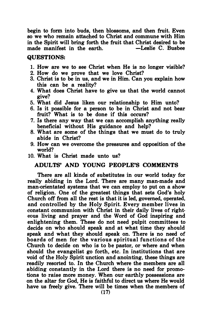begin to form into buds, then blossoms, and then fruit. Even so we who remain attached to Christ and commune with Him in the Spirit will bring forth the fruit that Christ desired to be made manifest in the earth  $\overline{ }$  -Leslie C. Bushee made manifest in the earth.

# QUESTIONS:

- 1. How are we to see Christ when He is no longer visible?
- 2. How do we prove that we love Christ?
- 3. Christ is to be in us, and we in Him. Can you explain how this can be a reality?
- 4. What does Christ have to give us that the world cannot give?
- 5. What did Jesus liken our relationship to Him unto?
- 6. Is it possible for a person to be in Christ and not bear fruit? What is to be done if this occurs?
- 7. Is there any way that we can accomplish anything really beneficial without His guidance and help?
- 8. What are some of the things that we must do to truly abide in Christ?
- 9. How can we overcome the pressures and opposition of the world?
- 10. What is Christ made unto us?

# ADULTS' AND YOUNG PEOPLE'S COMMENTS

There are all kinds of substitutes in our world today for really abiding in the Lord. There are many man-made and man-orientated systems that we can employ to put on a show of religion. One of the greatest things that sets God's holy Church off from all the rest is that it is led, governed, operated, and controlled by the Holy Spirit. Every member lives in constant communion with Christ in their daily lives of righteous living and prayer and the Word of God inspiring and enlightening them. These do not need pulpit committees to decide on who should speak and at what time they should speak and what they should speak on. There is no need of boards of men for the various spiritual functions of the Church to decide on who is to be pastor, or where and when should the evangelist go forth, etc. In institutions that are void of the Holy Spirit unction and anointing, these things are readily resorted to. In the Church where the members are all abiding constantly in the Lord there is no need for promotions to raise more money. When our earthly possessions are on the altar for God, He is faithful to direct us where He would have us freely give. There will be times when the members of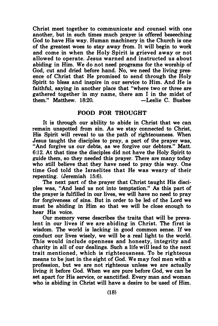Christ meet together to communicate and counsel with one another, but in such times much prayer is offered beseeching God to have His way. Human machinery in the Church is one of the greatest woes to stay away from. It will begin to work and come in when the Holy Spirit is grieved away or not allowed to operate. Jesus warned and instructed us about abiding in Him. We do not need programs for the worship of God, cut and dried before hand. No, we need the living presence of Christ that He promised to send through the Holy Spirit to bless and inspire in our service to Him. And He is faithful, saying in another place that "where two or three are gathered together in my name, there am I in the midst of them." Matthew.  $18:20$ .  $-$ Leslie C. Busbee them." Matthew. 18:20.

#### FOOD FOR THOUGHT

It is through our ability to abide in Christ that we can remain unspotted from sin. As we stay connected to Christ, His Spirit will reveal to us the path of righteousness. When Jesus taught the disciples to pray, a part of the prayer was, "And forgive us our debts, as we forgive our debtors." Matt. 6:12. At that time the disciples did not have the Holy Spirit to guide them, so they needed this prayer. There are many today who still believe that they have need to pray this way. One time God told the Israelites that He was weary of their repenting. (Jeremiah 15:6).

The next part of the prayer that Christ taught His disciples was, "And lead us not into temptation." As this part of the prayer is fulfilled in our lives, we will have no need to pray for forgiveness of sins. But in order to be led of the Lord we must be abiding in Him so that we will be close enough to hear His voice.

Our memory verse describes the traits that will be prevalent in our lives if we are abiding in Christ. The first is wisdom. The world is lacking in good common sense. If we conduct our lives wisely, we will be a real light to the world. This would include openness and honesty, integrity and charity in all of our dealings. Such a life will lead to the next trait mentioned, which is righteousness. To be righteous means to be just in the sight of God. We may fool men with a profession, but we are not righteous unless we are actually living it before God. When we are pure before God, we can be set apart for His service, or sanctified. Every man and woman who is abiding in Christ will have a desire to be used of Him.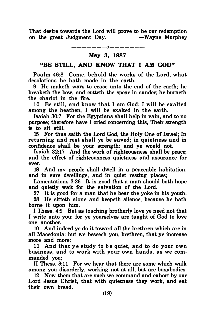That desire towards the Lord will prove to be our redemption on the great Judgment Day.  $-Wa$  we Murphey

> ————————————————— May 3, 1987

# "BE STILL, AND KNOW THAT I AM GOD"

Psalm 46:8 Come, behold the works of the Lord, what desolations he hath made in the earth.

9 He maketh wars to cease unto the end of the earth; he breaketh the bow, and cutteth the spear in sunder; he burneth the chariot in the fire.

10 Be still, and know that I am God: I will be exalted among the heathen, I will be exalted in the earth.

Isaiah 30:7 For the Egyptians shall help in vain, and to no purpose; therefore have I cried concerning this, Their strength is to sit still.

15 For thus saith the Lord God, the Holy One of Israel; In returning and rest shall ye be saved; in quietness and in confidence shall be your strength: and ye would not.

Isaiah 32:17 And the work of righteousness shall be peace; and the effect of righteousness quietness and assurance for ever.

18 And my people shall dwell in a peaceable habitation, and in sure dwellings, and in quiet resting places;

Lamentations 3:26 It is good that a man should both hope and quietly wait for the salvation of the Lord.

27 It is good for a man that he bear the yoke in his youth.

28 He sitteth alone and keepeth silence, because he hath borne it upon him.

I Thess. 4:9 But as touching brotherly love ye need not that I write unto you: for ye yourselves are taught of God to love one another.

10 And indeed ye do it toward all the brethren which are in all Macedonia: but we beseech you, brethren, that ye increase more and more;

11 And that ye study to be quiet, and to do your own business, and to work with your own hands, as we commanded you;

II Thess. 3:11 For we hear that there are some which walk among you disorderly, working not at all, but are busybodies.

12 Now them that are such we command and exhort by our Lord Jesus Christ, that with quietness they work, and eat their own bread.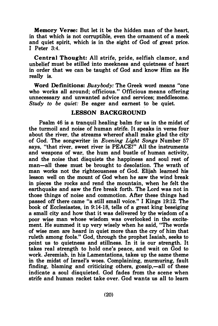Memory Verse: But let it be the hidden man of the heart, in that which is not corruptible, even the ornament of a meek and quiet spirit, which is in the sight of God of great price. I Peter 3:4.

Central Thought: All strife, pride, selfish clamor, and unbelief must be stilled into meekness and quietness of heart in order that we can be taught of God and know Him as He really is.

Word Definitions: Busybody: The Greek word means "one who works all around; officious." Officious means offering unnecessary and unwanted advice and services; meddlesome. Study to be quiet: Be eager and earnest to be quiet.

# LESSON BACKGROUND

Psalm 46 is a tranquil healing balm for us in the midst of the turmoil and noise of human strife. It speaks in verse four about the river, the streams whereof shall make glad the city of God. The songwriter in Evening Light Songs Number 57 says, "that river, sweet river is PEACE!" All the instruments and weapons of war, the hum and bustle of human activity, and the noise that disquiets the happiness and soul rest of man-all these must be brought to desolation. The wrath of man works not the righteousness of God. Elijah learned his lesson well on the mount of God when he saw the wind break in pieces the rocks and rend the mountain, when he felt the earthquake and saw the fire break forth. The Lord was not in those things of noise and commotion. After these things had passed off there came "a still small voice." I Kings 19:12. The book of Ecclesiastes, in 9:14-18, tells of a great king beseiging a small city and how that it was delivered by the wisdom of a poor wise man whose wisdom was overlooked in the excitement. He summed it up very wisely when he said, "The words of wise men are heard in quiet more than the cry of him that ruleth among fools." God, through the prophet Isaiah, seeks to point us to quietness and stillness. In it is our strength. It takes real strength to hold one's peace, and wait on God to work. Jeremiah, in his Lamentations, takes up the same theme in the midst of Israel's woes. Complaining, murmuring, fault finding, blaming and criticizing others, gossip,—all of these indicate a soul disquieted. God fades from the scene when strife and human racket take over. God wants us all to learn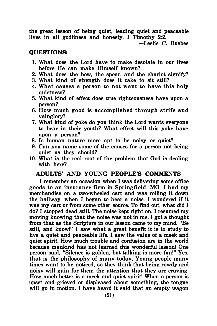the great lesson of being quiet, leading quiet and peaceable lives in all godliness and honesty. I Timothy 2:2.

-Leslie C. Busbee

## QUESTIONS:

- 1. What does the Lord have to make desolate in our lives before He can make Himself known?
- 2. What does the bow, the spear, and the chariot signify?
- 3. What kind of strength does it take to sit still?
- 4. What causes a person to not want to have this holy quietness?
- 5. What kind of effect does true righteousness have upon a person?
- 6. How much good is accomplished through strife and vainglory?
- 7. What kind of yoke do you think the Lord wants everyone to bear in their youth? What effect will this yoke have upon a person?
- 8. Is human nature more apt to be noisy or quiet?
- 9. Can you name some of the causes for a person not being quiet as they should?
- 10. What is the real root of the problem that God is dealing with here?

# ADULTS' AND YOUNG PEOPLE'S COMMENTS

I remember an occasion when I was delivering some office goods to an insurance firm in Springfield, MO. I had my merchandise on a two-wheeled cart and was rolling it down the hallway, when I began to hear a noise. I wondered if it was my cart or from some other source. To find out, what did I do? I stopped dead still. The noise kept right on. I resumed my moving knowing that the noise was not in me. I got a thought from that as the Scripture in our lesson came to my mind. "Be still, and know!" I saw what a great benefit it is to study to live a quiet and peaceable life. I saw the value of a meek and quiet spirit. How much trouble and confusion are in the world because mankind has not learned this wonderful lesson! One person said, "Silence is golden, but talking is more fun!" Yes, that is the philosophy of many today. Young people many times want to be noticed, so they think that being rowdy and noisy will gain for them the attention that they are craving. How much better is a meek and quiet spirit! When a person is upset and grieved or displeased about something, the tongue will go in motion. I have heard it said that an empty wagon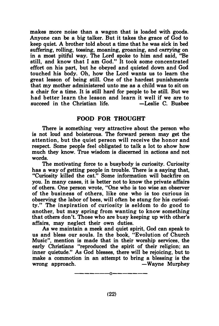makes more noise than a wagon that is loaded with goods. Anyone can be a big talker. But it takes the grace of God to keep quiet. A brother told about a time that he was sick in bed suffering, rolling, tossing, moaning, groaning, and carrying on in a most pitiful way. The Lord spoke to him and said, "Be still, and know that I am God." It took some concentrated effort on his part, but he obeyed and quieted down and God touched his body. Oh, how the Lord wants us to learn the great lesson of being still. One of the hardest punishments that my mother administered unto me as a child was to sit on a chair for a time. It is still hard for people to be still. But we had better learn the lesson and learn it well if we are to succeed in the Christian life.  $\overline{\phantom{a}}$  -Leslie C. Bushee succeed in the Christian life.

# FOOD FOR THOUGHT

There is something very attractive about the person who is not loud and boisterous. The forward person may get the attention, but the quiet person will receive the honor and respect. Some people feel obligated to talk a lot to show how much they know. True wisdom is discerned in actions and not words.

The motivating force to a busybody is curiosity. Curiosity has a way of getting people in trouble. There is a saying that, "Curiosity killed the cat." Some information will backfire on you. In many cases, it is better not to know the private affairs of others. One person wrote, "One who is too wise an observer of the business of others, like one who is too curious in observing the labor of bees, will often be stung for his curiosity." The inspiration of curiosity is seldom to do good to another, but may spring from wanting to know something that others don't. Those who are busy keeping up with other's affairs, may neglect their own duties.

As we maintain a meek and quiet spirit, God can speak to us and bless our souls. In the book, "Evolution of Church Music", mention is made that in their worship services, the early Christians "reproduced the spirit of their religion; an inner quietude." As God blesses, there will be rejoicing, but to make a commotion in an attempt to bring a blessing is the wrong approach.  $-Wavne$  Murphey

-------0-------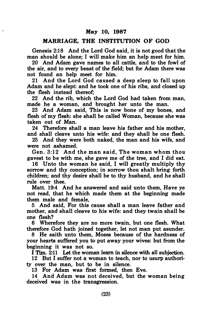#### MARRIAGE, THE INSTITUTION OF GOD

Genesis 2:18 And the Lord God said, it is not good that the man should be alone; I will make him an help meet for him.

20 And Adam gave names to all cattle, and to the fowl of the air, and to every beast of the field; but for Adam there was not found an help meet for him.

21 And the Lord God caused a deep sleep to fall upon Adam and he slept: and he took one of his ribs, and closed up the flesh instead thereof;

22 And the rib, which the Lord God had taken from man, made he a woman, and brought her unto the man.

23 And Adam said, This is now bone of my bones, and flesh of my flesh: she shall be called Woman, because she was taken out of Man.

24 Therefore shall a man leave his father and his mother, and shall cleave unto his wife: and they shall be one flesh.

25 And they were both naked, the man and his wife, and were not ashamed.

Gen. 3:12 And the man said, The woman whom thou gavest to be with me, she gave me of the tree, and I did eat.

16 Unto the woman he said, I will greatly multiply thy sorrow and thy conception; in sorrow thou shalt bring forth children; and thy desire shall be to thy husband, and he shall rule over thee.

Matt. 19:4 And he answered and said unto them, Have ye not read, that he which made them at the beginning made them male and female,

5 And said, For this cause shall a man leave father and mother, and shall cleave to his wife: and they twain shall be one flesh?

6 Wherefore they are no more twain, but one flesh. What therefore God hath joined together, let not man put asunder.

8 He saith unto them, Moses because of the hardness of your hearts suffered you to put away your wives: but from the beginning it was not so.

I Tim. 2:11 Let the woman learn in silence with all subjection.

12 But I suffer not a woman to teach, nor to usurp authority over the man, but to be in silence.

13 For Adam was first formed, then Eve.

14 And Adam was not deceived, but the woman being deceived was in the transgression.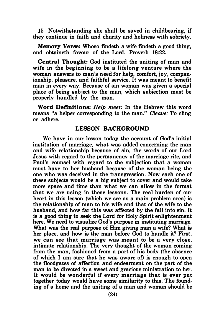15 Notwithstanding she shall be saved in childbearing, if they continue in faith and charity and holiness with sobriety.

Memory Verse: Whoso findeth a wife findeth a good thing, and obtaineth favour of the Lord. Proverb 18:22.

Central Thought: God instituted the uniting of man and wife in the beginning to be a lifelong venture where the woman answers to man's need for help, comfort, joy, companionship, pleasure, and faithful service. It was meant to benefit man in every way. Because of sin woman was given a special place of being subject to the man, which subjection must be properly handled by the man.

Word Definitions: Help meet: In the Hebrew this word means "a helper corresponding to the man." Cleave: To cling or adhere.

### LESSON BACKGROUND

We have in our lesson today the account of God's initial institution of marriage, what was added concerning the man and wife relationship because of sin, the words of our Lord Jesus with regard to the permanency of the marriage rite, and Paul's counsel with regard to the subjection that a woman must have to her husband because of the woman being the one who was deceived in the transgression. Now each one of these subjects would be a big subject to cover and would take more space and time than what we can allow in the format that we are using in these lessons. The real burden of our heart in this lesson (which we see as a main problem area) is the relationship of man to his wife and that of the wife to the husband, and how far this was affected by the fall into sin. It is a good thing to seek the Lord for Holy Spirit enlightenment here. We need to visualize God's purpose in instituting marriage. What was the real purpose of Him giving man a wife? What is her place, and how is the man before God to handle it? First, we can see that marriage was meant to be a very close, intimate relationship. The very thought of the woman coming from the man, fashioned from a part of his body (the absence of which I am sure that he was aware of) is enough to open the floodgates of affection and endearment on the part of the man to be directed in a sweet and gracious ministration to her. It would be wonderful if every marriage that is ever put together today would have some similarity to this. The founding of a home and the uniting of a man and woman should be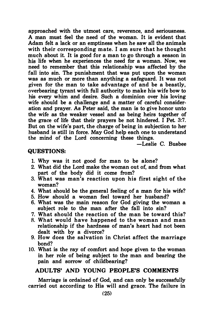approached with the utmost care, reverence, and seriousness. A man must feel the need of the woman. It is evident that Adam felt a lack or an emptiness when he saw all the animals with their corresponding mate. I am sure that he thought much about it. It is good for a man to go through a season in his life when he experiences the need for a woman. Now, we need to remember that this relationship was affected by the fall into sin. The punishment that was put upon the woman was as much or more than anything a safeguard. It was not given for the man to take advantage of and be a beastly, overbearing tyrant with full authority to make his wife bow to his every whim and desire. Such a dominion over his loving wife should be a challenge and a matter of careful consideration and prayer. As Peter said, the man is to give honor unto the wife as the weaker vessel and as being heirs together of the grace of life that their prayers be not hindered. I Pet. 3:7. But on the wife's part, the charge of being in subjection to her husband is still in force. May God help each one to understand the mind of the Lord concerning these things.

-Leslie C. Busbee

#### QUESTIONS:

- 1. Why was it not good for man to be alone?
- 2. What did the Lord make the woman out of, and from what part of the body did it come from?
- 3. What was man's reaction upon his first sight of the woman?
- 4. What should be the general feeling of a man for his wife?
- 5. How should a woman feel toward her husband?
- 6. What was the main reason for God giving the woman a subject role to the man after the fall into sin?
- 7. What should the reaction of the man be toward this?
- 8. What would have happened to the woman and man relationship if the hardness of man's heart had not been dealt with by a divorce?
- 9. How does the salvation in Christ affect the marriage bond?
- 10. What is the ray of comfort and hope given to the woman in her role of being subject to the man and bearing the pain and sorrow of childbearing?

# ADULTS' AND YOUNG PEOPLE'S COMMENTS

Marriage is ordained of God, and can only be successfully carried out according to His will and grace. The failure in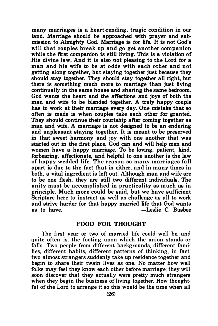many marriages is a heart-rending, tragic condition in our land. Marriage should be approached with prayer and submission to Almighty God. Marriage is for life. It is not God's will that couples break up and go get another companion while the first companion is still living. This is a violation of His divine law. And it is also not pleasing to the Lord for a man and his wife to be at odds with each other and not getting along together, but staying together just because they should stay together. They should stay together all right, but there is something much more to marriage than just living continually in the same house and sharing the same bedroom. God wants the heart and the affections and joys of both the man and wife to be blended together. A truly happy couple has to work at their marriage every day. One mistake that so often is made is when couples take each other for granted. They should continue their courtship after coming together as man and wife. A marriage is not designed to be an enduring and unpleasant staying together. It is meant to be preserved in that sweet harmony and joy with one another that was started out in the first place. God can and will help men and women have a happy marriage. To be loving, patient, kind, forbearing, affectionate, and helpful to one another is the law of happy wedded life. The reason so many marriages fall apart is due to the fact that in either, and in many times in both, a vital ingredient is left out. Although man and wife are to be one flesh, they are still two different individuals. The unity must be accomplished in practicality as much as in principle. Much more could be said, but we have sufficient Scripture here to instruct as well as challenge us all to work and strive harder for that happy married life that God wants -Leslie C. Busbee.

### FOOD FOR THOUGHT

The first year or two of married life could well be, and quite often is, the footing upon which the union stands or falls. Two people from different backgrounds, different families, different habits, different patterns of thinking, in fact, two almost strangers suddenly take up residence together and begin to share their twain lives as one. No matter how well folks may feel they know each other before marriage, they will soon discover that they actually were pretty much strangers when they begin the business of living together. How thoughtful of the Lord to arrange it so this would be the time when all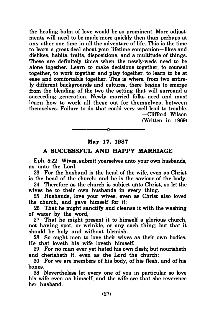the healing balm of love would be so prominent. More adjustments will need to be made more quickly then than perhaps at any other one time in all the adventure of life. This is the time to learn a great deal about your lifetime companion-likes and dislikes, habits, traits, dispositions, and a multitude of things. These are definitely times when the newly-weds need to be alone together. Learn to make decisions together, to counsel together, to work together and play together, to learn to be at ease and comfortable together. This is where, from two entirely different backgrounds and cultures, there begins to emerge from the blending of the two the setting that will surround a succeeding generation. Newly married folks need and must learn how to work all these out for themselves, between themselves. Failure to do that could very well lead to trouble. -Clifford Wilson

(Written in 1969)

# \_\_\_\_\_\_\_\_\_\_\_\_\_\_\_\_\_\_\_ May 17, 1987

#### A SUCCESSFUL AND HAPPY MARRIAGE

Eph. 5:22 Wives, submit yourselves unto your own husbands, as unto the Lord.

23 For the husband is the head of the wife, even as Christ is the head of the church: and he is the saviour of the body.

24 Therefore as the church is subject unto Christ, so let the wives be to their own husbands in every thing.

25 Husbands, love your wives, even as Christ also loved the church, and gave himself for it;

26 That he might sanctify and cleanse it with the washing of water by the word,

27 That he might present it to himself a glorious church, not having spot, or wrinkle, or any such thing; but that it should be holy and without blemish.

28 So ought men to love their wives as their own bodies. He that loveth his wife loveth himself.

29 For no man ever yet hated his own flesh; but nourisheth and cherisheth it, even as the Lord the church:

30 For we are members of his body, of his flesh, and of his bones.

33 Nevertheless let every one of you in particular so love his wife even as himself; and the wife see that she reverence her husband.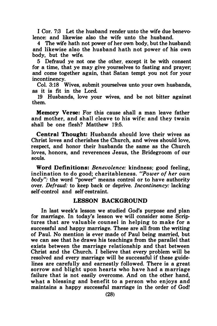I Cor. 7:3 Let the husband render unto the wife due benevolence: and likewise also the wife unto the husband.

4 The wife hath not power of her own body, but the husband: and likewise also the husband hath not power of his own body, but the wife.

5 Defraud ye not one the other, except it be with consent for a time, that ye may give yourselves to fasting and prayer; and come together again, that Satan tempt you not for your incontinency.

Col. 3:18 Wives, submit yourselves unto your own husbands, as it is fit in the Lord.

19 Husbands, love your wives, and be not bitter against them.

Memory Verse: For this cause shall a man leave father and mother, and shall cleave to his wife: and they twain shall be one flesh? Matthew 19:5.

Central Thought: Husbands should love their wives as Christ loves and cherishes the Church, and wives should love, respect, and honor their husbands the same as the Church loves, honors, and reverences Jesus, the Bridegroom of our souls.

Word Definitions: Benevolence: kindness; good feeling, inclination to do good; charitableness. "Power of her own body": the word "power" means control or to have authority over. Defraud: to keep back or deprive. Incontinency: lacking self-control and self-restraint.

# LESSON BACKGROUND

In last week's lesson we studied God's purpose and plan for marriage. In today's lesson we will consider some Scriptures that are valuable counsel in helping to make for a successful and happy marriage. These are all from the writing of Paul. No mention is ever made of Paul being married, but we can see that he draws his teachings from the parallel that exists between the marriage relationship and that between Christ and the Church. I believe that every problem will be resolved and every marriage will be successful if these guidelines are carefully and earnestly followed. There is a great sorrow and blight upon hearts who have had a marriage failure that is not easily overcome. And on the other hand, what a blessing and benefit to a person who enjoys and maintains a happy successful marriage in the order of God!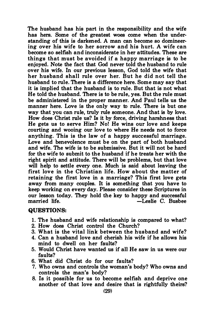The husband has his part in the responsibility and the wife has hers. Some of the greatest woes come when the understanding of this is darkened. A man can become so domineering over his wife to her sorrow and his hurt. A wife can become so selfish and inconsiderate in her attitudes. These are things that must be avoided if a happy marriage is to be enjoyed. Note the fact that God never told the husband to rule over his wife. In our previous lesson, God told the wife that her husband shall rule over her. But he did not tell the husband to rule. There is a difference here. Some may say that it is implied that the husband is to rule. But that is not what He told the husband. There is to be rule, yes. But the rule must be administered in the proper manner. And Paul tells us the manner here. Love is the only way to rule. There is but one way that you can rule, truly rule someone. And that is by love. How does Christ rule us? Is it by force, driving harshness that He gets us to serve Him? No! He wins our love and keeps courting and wooing our love to where He needs not to force anything. This is the law of a happy successful marriage. Love and benevolence must be on the part of both husband and wife. The wife is to be submissive. But it will not be hard for the wife to submit to the husband if he treats her with the right spirit and attitude. There will be problems, but that love will help to settle every one. Much is said about leaving the first love in the Christian life. How about the matter of retaining the first love in a marriage? This first love gets away from many couples. It is something that you have to keep working on every day. Please consider these Scriptures in our lesson today. They hold the key to happy and successful -Leslie C. Busbee

#### QUESTIONS:

- 1. The husband and wife relationship is compared to what?
- 2. How does Christ control the Church?
- 3. What is the vital link between the husband and wife?
- 4. Can a husband love and cherish his wife if he allows his mind to dwell on her faults?
- 5. Would Christ have wanted us if all He saw in us were our faults?
- 6. What did Christ do for our faults?
- 7. Who owns and controls the woman's body? Who owns and controls the man's body?
- 8. Is it possible for us to become selfish and deprive one another of that love and desire that is rightfully theirs?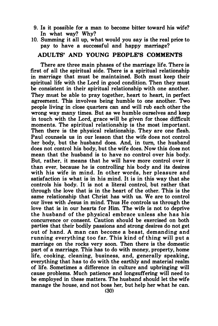9. Is it possible for a man to become bitter toward his wife? In what way? Why?

# 10. Summing it all up, what would you say is the real price to pay to have a successful and happy marriage?

# ADULTS' AND YOUNG PEOPLE'S COMMENTS

There are three main phases of the marriage life. There is first of all the spiritual side. There is a spiritual relationship in marriage that must be maintained. Both must keep their spiritual life with the Lord in good condition. Then they must be consistent in their spiritual relationship with one another. They must be able to pray together, heart to heart, in perfect agreement. This involves being humble to one another. Two people living in close quarters can and will rub each other the wrong way many times. But as we humble ourselves and keep in touch with the Lord, grace will be given for those difficult moments. The spiritual relationship is the most important. Then there is the physical relationship. They are one flesh. Paul counsels us in our lesson that the wife does not control her body, but the husband does. And, in tum, the husband does not control his body, but the wife does. Now this does not mean that the husband is to have no control over his body. But, rather, it means that he will have more control over it than ever, because he is controlling his body and its desires with his wife in mind. In other words, her pleasure and satisfaction is what is in his mind. It is in this way that she controls his body. It is not a literal control, but rather that through the love that is in the heart of the other. This is the same relationship that Christ has with us. We are to control our lives with Jesus in mind. Thus He controls us through the love that is in our hearts for Him. The wife is not to deprive the husband of the physical embrace u nless she has his concurrence or consent. Caution should be exercised on both parties that their bodily passions and strong desires do not get out of hand. A man can become a beast, demanding and running everything too far. This kind of thing will put a marriage on the rocks very soon. Then there is the domestic part of a marriage. This has to do with money, property, home life, cooking, cleaning, business, and, generally speaking, everything that has to do with the earthly and material realm of life. Sometimes a difference in culture and upbringing will cause problems. Much patience and longsuffering will need to be employed in these matters. The husband should let the wife manage the house, and not boss her, but help her what he can.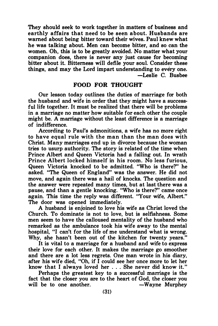They should seek to work together in matters of business and earthly affairs that need to be seen about. Husbands are warned about being bitter toward their wives. Paul knew what he was talking about. Men can become bitter, and so can the women. Oh, this is to be greatly avoided. No matter what your companion does, there is never any just cause for becoming bitter about it. Bitterness will defile your soul. Consider these things, and may the Lord impart understanding to every one. -Leslie C. Busbee

# FOOD FOR THOUGHT

Our lesson today outlines the duties of marriage for both the husband and wife in order that they might have a successful life together. It must be realized that there will be problems in a marriage no matter how suitable for each other the couple might be. A marriage without the least difference is a marriage of indifference.

According to Paul's admonitions, a wife has no more right to have equal rule with the man than the man does with Christ. Many marriages end up in divorce because the woman tries to usurp authority. The story is related of the time when Prince Albert and Queen Victoria had a falling out. In wrath Prince Albert locked himself in his room. No less furious, Queen Victoria knocked to be admitted. "Who is there?" he asked. "The Queen of England" was the answer. He did not move, and again there was a hail of knocks. The question and the answer were repeated many times, but at last there was a pause, and than a gentle knocking. "Who is there?" came once again. This time the reply was different. "Your wife, Albert." The door was opened immediately.

A husband is enjoined to love his wife as Christ loved the Church. To dominate is not to love, but is selfishness. Some men seem to have the calloused mentality of the husband who remarked as the ambulance took his wife away to the mental hospital, "I can't for the life of me understand what is wrong. Why, she hasn't been out of the kitchen for twenty years."

It is vital to a marriage for a husband and wife to express their love for each other. It makes the marriage go smoother and there are a lot less regrets. One man wrote in his diary, after his wife died, "Oh, if I could see her once more to let her know that I always loved her ... She never did know it."

Perhaps the greatest key to a successful marriage is the fact that the closer you are to the heart of God, the closer you will be to one another.  $-Wayne$  Murphey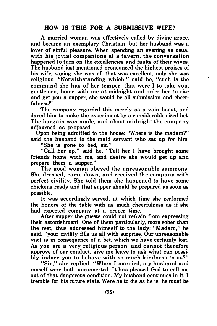A married woman was effectively called by divine grace, and became an exemplary Christian, but her husband was a lover of sinful pleasure. When spending an evening as usual with his jovial companions at a tavern, the conversation happened to tum on the excellencies and faults of their wives. The husband just mentioned pronounced the highest praises of his wife, saying she was all that was excellent, only she was religious. "Notwithstanding which," said he, "such is the command she has of her temper, that were I to take you, gentlemen, home with me at midnight and order her to rise and get you a supper, she would be all submission and cheerfulness!"

The company regarded this merely as a vain boast, and dared him to make the experiment by a considerable sized bet. The bargain was made, and about midnight the company adjourned as proposed.

Upon being admitted to the house: "Where is the madam?" said the husband to the maid servant who sat up for him.

"She is gone to bed, sir."

"Call her up," said he. "Tell her I have brought some friends home with me, and desire she would get up and prepare them a supper."

The good woman obeyed the unreasonable summons. She dressed, came down, and received the company with perfect civility. She told them she happened to have some chickens ready and that supper should be prepared as soon as possible.

It was accordingly served, at which time she performed the honors of the table with as much cheerfulness as if she had expected company at a proper time.

After supper the guests could not refrain from expressing their astonishment. One of them particularly, more sober than the rest, thus addressed himself to the lady: "Madam," he said, "your civility fills us all with surprise. Our unreasonable visit is in consequence of a bet, which we have certainly lost. As you are a very religious person, and cannot therefore approve of our conduct, give me leave to ask what can possibly induce you to behave with so much kindness to us?"

"Sir," she replied. "When· I married, my husband and myself were both unconverted. It has pleased God to call me out of that dangerous condition. My husband continues in it. I tremble for his future state. Were he to die as he is, he must be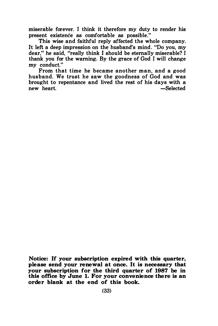miserable forever. I think it therefore my duty to render his present existence as comfortable as possible."

This wise and faithful reply affected the whole company. It left a deep impression on the husband's mind. "Do you, my dear," he said, "really think I should be eternally miserable? I thank you for the warning. By the grace of God I will change my conduct."

From that time he became another man, and a good husband. We trust he saw the goodness of God and was brought to repentance and lived the rest of his days with a new heart.  $-$ Selected

Notice: If your subscription expired with this quarter, please send your renewal at once. It is necessary that your subscription for the third quarter of 1987 be in this office by June 1. For your convenience there is an order blank at the end of this book.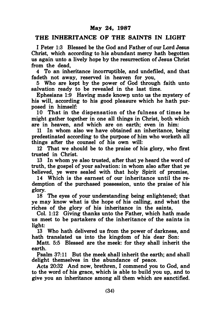# THE INHERITANCE OF THE SAINTS IN LIGHT

I Peter 1:3 Blessed be the God and Father of our Lord Jesus Christ, which according to his abundant mercy hath begotten us again unto a lively hope by the resurrection of Jesus Christ from the dead,

4 To an inheritance incorruptible, and undefiled, and that fadeth not away, reserved in heaven for you,

5 Who are kept by the power of God through faith unto salvation ready to be revealed in the last time.

Ephesians 1:9 Having made known unto us the mystery of his will, according to his good pleasure which he hath purposed in himself:

10 That in the dispensation of the fulness of times he might gather together in one all things in Christ, both which are in heaven, and which are on earth; even in him:

11 In whom also we have obtained an inheritance, being predestinated according to the purpose of him who worketh all things after the counsel of his own will:

12 That we should be to the praise of his glory, who first trusted in Christ.

13 In whom ye also trusted, after that ye heard the word of truth, the gospel of your salvation: in whom also after that ye believed, ye were sealed with that holy Spirit of promise,

14 Which is the earnest of our inheritance until the redemption of the purchased possession, unto the praise of his glory.

18 The eyes of your understanding being enlightened; that ye may know what is the hope of his calling, and what the riches of the glory of his inheritance in the saints,

Col. 1:12 Giving thanks unto the Father, which hath made us meet to be partakers of the inheritance of the saints in light:

13 Who hath delivered us from the power of darkness, and hath translated us into the kingdom of his dear Son:

Matt. 5:5 Blessed are the meek: for they shall inherit the earth.

Psalm 37:11 But the meek shall inherit the earth; and shall delight themselves in the abundance of peace.

Acts 20:32 And now, brethren, I commend you to God, and to the word of his grace, which is able to build you up, and to give you an inheritance among all them which are sanctified.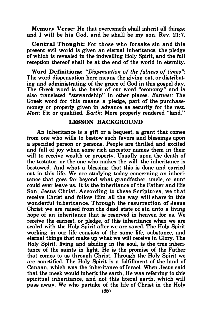Memory Verse: He that overcometh shall inherit all things; and I will be his God, and he shall be my son. Rev. 21:7.

Central Thought: For those who forsake sin and this present evil world is given an eternal inheritance, the pledge of which is revealed in the indwelling Holy Spirit, and the full reception thereof shall be at the end of the world in eternity.

Word Definitions: "Dispensation of the fulness of times": The word dispensation here means the giving out, or distributing and administrating of the grace of God in this gospel day. The Greek word is the basis of our word "economy" and is also translated "stewardship" in other places. Earnest: The Greek word for this means a pledge, part of the purchasemoney or property given in advance as security for the rest. Meet: Fit or qualified. Earth: More properly rendered "land."

#### LESSON BACKGROUND

An inheritance is a gift or a bequest, a grant that comes from one who wills to bestow such favors and blessings upon a specified person or persons. People are thrilled and excited and full of joy when some rich ancestor names them in their will to receive wealth or property. Usually upon the death of the testator, or the one who makes the will, the inheritance is bestowed. And what a blessing that this is done and carried out in this life. We are studying today concerning an inheri· tance that goes far beyond what grandfather, uncle, or aunt could ever leave us. It is the inheritance of the Father and His Son, Jesus Christ. According to these Scriptures, we that receive Christ and follow Him all the way will share in this wonderful inheritance. Through the resurrection of Jesus Christ we are raised from the dead state of sin unto a living hope of an inheritance that is reserved in heaven for us. We receive the earnest, or pledge, of this inheritance when we are sealed with the Holy Spirit after we are saved. The Holy Spirit working in our life consists of the same life, substance, and eternal things that make up what we will receive in Glory. The Holy Spirit, living and abiding in the soul, is the true inheritance of the saints in light. He is the promise of the Father that comes to us through Christ. Through the Holy Spirit we are sanctified. The Holy Spirit is a fulfillment of the land of Canaan, which was the inheritance of Israel. When Jesus said that the meek would inherit the earth, He was referring to this spiritual inheritance, and not this literal earth, which will pass away. We who partake of the life of Christ in the Holy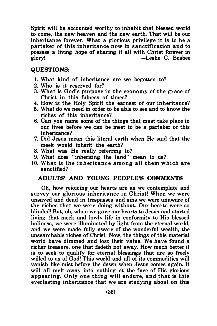Spirit will be accounted worthy to inhabit that blessed world to come, the new heaven and the new earth. That will be our inheritance forever. What a glorious privilege it is to be a partaker of this inheritance now in sanctification and to possess a Jiving hope of sharing it all with Christ forever in glory! -Leslie C. Busbee

# QUESTIONS:

- 1. What kind of inheritance are we begotten to?
- 2. Who is it reserved for?
- 3. What is God's purpose in the economy of the grace of Christ in this fulness of times?
- 4. How is the Holy Spirit the earnest of our inheritance?
- 5. What do we need in order to be able to see and to know the riches of this inheritance?
- 6. Can you name some of the things that must take place in our lives before we can be meet to be a partaker of this inheritance?
- 7. Did Jesus mean this literal earth when He said that the meek would inherit the earth?
- 8. What was He really referring to?
- 9. What does "inheriting the land" mean to us?
- 10. What is the inheritance among all them which are sanctified?

# ADULTS' AND YOUNG PEOPLE'S COMMENTS

Oh, how rejoicing our hearts are as we contemplate and survey our glorious inheritance in Christ! When we were unsaved and dead in trespasses and sins we were unaware of the riches that we were doing without. Our hearts were so blinded! But, oh, when we gave our hearts to Jesus and started living that meek and lowly life in conformity to His blessed holiness, we were illuminated by light from the eternal world, and we were made fully aware of the wonderful wealth, the unsearchable riches of Christ. Now, the things of this material world have dimmed and lost their value. We have found a richer treasure, one that fadeth not away. How much better it is to seek to qualify for eternal blessings that are so freely willed to us of God! This world and all of its commodities will vanish like mist before the dawn when Jesus comes again. It will all melt away into nothing at the face of His glorious appearing. Only one thing will endure, and that is this everlasting inheritance that we are studying about on this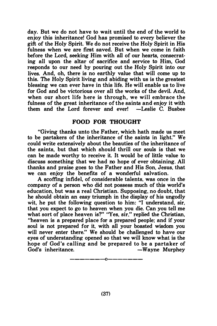day. But we do not have to wait until the end of the world to enjoy this inheritance! God has promised to every believer the gift of the Holy Spirit. We do not receive the Holy Spirit in His fulness when we are first saved. But when we come in faith before the Lord, seeking Him with all of our hearts, consecrating all upon the altar of sacrifice and service to Him, God responds to our need by pouring out the Holy Spirit into our lives. And, oh, there is no earthly value that will come up to this. The Holy Spirit living and abiding with us is the greatest blessing we can ever have in this life. He will enable us to live for God and be victorious over all the works of the devil. And, when our short life here is through, we will embrace the fulness of the great inheritance of the saints and enjoy it with them and the Lord forever and ever!  $-$ Leslie  $\ddot{C}$ . Busbee

# FOOD FOR THOUGHT

"Giving thanks unto the Father, which hath made us meet to be partakers of the inheritance of the saints in light." We could write extensively about the beauties of the inheritance of the saints, but that which should thrill our souls is that we can be made worthy to receive it. It would be of little value to discuss something that we had no hope of ever obtaining. All thanks and praise goes to the Father and His Son, Jesus, that we can enjoy the benefits of a wonderful salvation.

A scoffing infidel, of considerable talents, was once in the company of a person who did not possess much of this world's education, but was a real Christian. Supposing, no doubt, that he should obtain an easy triumph in the display of his ungodly wit, he put the following question to him: "I understand, sir, that you expect to go to heaven when you die. Can you tell me what sort of place heaven is?" "Yes, sir," replied the Christian, "heaven is a prepared place for a prepared people; and if your soul is not prepared for it, with all your boasted wisdom you will never enter there." We should be challenged to have our eyes of understanding opened so that we will know what is the hope of God's calling and be prepared to be a partaker of<br>God's inheritance.<br>Wayne Murphey -Wayne Murphey

——————————————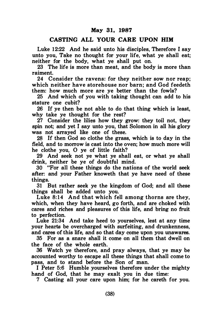# CASTING ALL YOUR CARE UPON HIM

Luke 12:22 And he said unto his disciples. Therefore I say unto you, Take no thought for your life, what ye shall eat; neither for the body, what ye shall put on.

23 The life is more than meat, and the body is more than raiment.

24 Consider the ravens: for they neither sow nor reap; which neither have storehouse nor barn; and God feedeth them: how much more are ye better than the fowls?

25 And which of you with taking thought can add to his stature one cubit?

26 If ye then be not able to do that thing which is least, why take ye thought for the rest?

27 Consider the lilies how they grow: they toil not, they spin not; and yet I say unto you, that Solomon in all his glory was not arrayed like one of these.

28 If then God so clothe the grass, which is to day in the field, and to morrow is cast into the oven; how much more will he clothe you, 0 ye of little faith?

29 And seek not ye what ye shall eat, or what ye shall drink, neither be ye of doubtful mind.

30 "For all these things do the nations of the world seek after: and your Father knoweth that ye have need of these things.

31 But rather seek ye the kingdom of God; and all these things shall be added unto you.

Luke 8:14 And that which fell among thorns are they, which, when they have heard, go forth, and are choked with cares and riches and pleasures of this life, and bring no fruit to perfection.

Luke 21:34 And take heed to yourselves, lest at any time your hearts be overcharged with surfeiting, and drunkenness, and cares of this life, and so that day come upon you unawares.

35 For as a snare shall it come on all them that dwell on the face of the whole earth.

36 Watch ye therefore, and pray always, that ye may be accounted worthy to escape all these things that shall come to pass, and to stand before the Son of man.

I Peter 5:6 Humble yourselves therefore under the mighty hand of God, that he may exalt you in due time:

7 Casting all your care upon him; for he careth for you.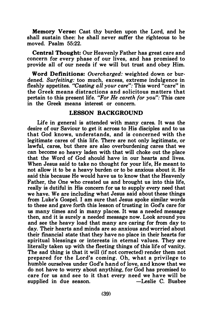Memory Verse: Cast thy burden upon the Lord, and he shall sustain thee: he shall never suffer the righteous to be moved. Psalm 55:22.

Central Thought: Our Heavenly Father has great care and concern for every phase of our lives, and has promised to provide all of our needs if we will but trust and obey Him.

Word Definitions: Overcharged: weighted down or burdened. Surfeiting: too much, excess, extreme indulgence in fleshly appetites. "Casting all your care": This word "care" in the Greek means distractions and solicitous matters that pertain to this present life. "For He careth for you": This care in the Greek means interest or concern.

# LESSON BACKGROUND

Life in general is attended with many cares. It was the desire of our Saviour to get it across to His disciples and to us that God knows, understands, and is concerned with the legitimate cares of this life. There are not only legitimate, or lawful, cares, but there are also overburdening cares that we can become so heavy laden with that will choke out the place that the Word of God should have in our hearts and lives. When Jesus said to take no thought for your life, He meant to not allow it to be a heavy burden or to be anxious about it. He said this because He would have us to know that the Heavenly Father, the One who created us and brought us into this life, really is dutiful in His concern for us to supply every need that we have. We are including what Jesus said about these things from Luke's Gospel. I am sure that Jesus spoke similar words to these and gave forth this lesson of trusting in God's care for us many times and in many places. It was a needed message then, and it is surely a needed message now. Look around you and see the heavy load that many are caring for from day to day. Their hearts and minds are so anxious and worried about their financial state that they have no place in their hearts for spiritual blessings or interests in eternal values. They are literally taken up with the fleeting things of this life of vanity. The sad thing is that it will (if not corrected) render them not prepared for the Lord's coming. Oh, what a privilege to humble ourselves under God's hand of love, and know that we do not have to worry about anything, for God has promised to care for us and see to it that every need we have will be supplied in due season. - -Leslie C. Busbee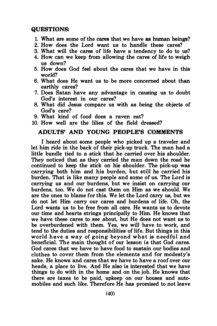# QUESTIONS:

- 1. What are some of the cares that we have as human beings?
- 2. How does the Lord want us to handle these cares?
- 3. What will the cares of life have a tendency to do to us?
- 4. How can we keep from allowing the cares of life to weigh us down?
- 5. How does God feel about the cares that we have in this world?
- 6. What does He want us to be more concerned about than earthly cares?
- 7. Does Satan have any advantage in causing us to doubt God's interest in our cares?
- 8. What did Jesus compare us with as being the objects of God's care?
- 9. What kind of food does a raven eat?
- 10. How well are the lilies of the field dressed?

# ADULTS' AND YOUNG PEOPLE'S COMMENTS

I heard about some people who picked up a traveler and let him ride in the back of their pick-up truck. The man had a little bundle tied to a stick that he carried over his shoulder. They noticed that as they carried the man down the road he continued to keep the stick on his shoulder. The pick-up was carrying both him and his burden, but still he carried his burden. That is like many people and some of us. The Lord is carrying us and our burdens, but we insist on carrying our burdens, too. We do not cast them on Him as we should. We are the ones to blame for this. We let the Lord carry us, but we do not let Him carry our cares and burdens of life. Oh, the Lord wants us to be free from all care. He wants us to devote our time and hearts strings principally to Him. He knows that we have these cares to see about, but He does not want us to be overburdened with them. Yes, we will have to work, and tend to the duties and responsibilities of life. But things in this world have a way of going beyond what is needful and beneficial. The main thought of our lesson is that God cares. God cares that we have to have food to sustain our bodies and clothes to cover them from the elements and for modesty's sake. He knows and cares that we have to have a roof over our heads, a place to live. And He also is interested that we have things to do with in the home and on the job. He knows that there are taxes to be paid, upkeep on our houses and automobiles and such like. Therefore He has promised to not leave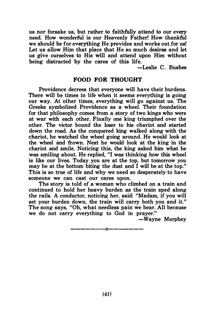us nor forsake us, but rather to faithfully attend to our every need. How wonderful is our Heavenly Father! How thankful we should be for everything He provides and works out for us! Let us allow Him that place that He so much desires and let us give ourselves to His will and attend upon Him without being distracted by the cares of this life.

-Leslie C. Busbee

#### FOOD FOR THOUGHT

Providence decrees that everyone will have their burdens. There will be times in life when it seems everything is going our way. At other times, everything will go against us. The Greeks symbolized Providence as a wheel. Their foundation for that philosophy comes from a story of two kings who were at war with each other. Finally one king triumphed over the other. The victor bound the loser to his chariot and started down the road. As the conquered king walked along with the chariot, he watched the wheel going around. He would look at the wheel and frown. Next he would look at the king in the chariot and smile. Noticing this, the king asked him what he was smiling about. He replied, "I was thinking how this wheel is like our lives. Today you are at the top, but tomorrow you may be at the bottom biting the dust and I will be at the top." This is so true of life and why we need so desperately to have someone we can cast our cares upon.

The story is told of a woman who climbed on a train and continued to hold her heavy burden as the train sped along the rails. A conductor, noticing her, said: "Madam, if you will set your burden down, the train will carry both you and it." The song says, "Oh, what needless pain we bear. All because we do not carry everything to God in prayer."

-Wayne Murphey

——————————————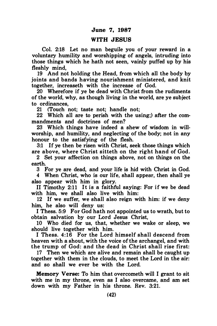#### June 7, 1987

# WITH **JESUS**

Col. 2:18 Let no man beguile you of your reward in a voluntary humility and worshipping of angels, intruding into those things which he hath not seen, vainly puffed up by his fleshly mind,

19 And not holding the Head, from which all the body by joints and bands having nourishment ministered, and knit together, increaseth with the increase of God.

20 Wherefore if ye be dead with Christ from the rudiments of the world, why, as though living in the world, are ye subject to ordinances,

21 (Touch not; taste not; handle not;

22 Which all are to perish with the using;) after the commandments and doctrines of men?

23 Which things have indeed a shew of wisdom in willworship, and humility, and neglecting of the body; not in any honour to the satisfying of the flesh.

3:1 If ye then be risen with Christ, seek those things which are above, where Christ sitteth on the right hand of God.

2 Set your affection on things above, not on things on the earth.

3 For ye are dead, and your life is hid with Christ in God.

4 When Christ, who is our life, shall appear, then shall ye also appear with him in glory.

II Timothy  $2:11$  It is a faithful saving: For if we be dead with him, we shall also live with him:

12 If we suffer, we shall also reign with him: if we deny him, he also will deny us:

I Thess. 5:9 For God hath not appointed us to wrath, but to obtain salvation by our Lord Jesus Christ,

10 Who died for us, that, whether we wake or sleep, we should live together with him.

I Thess. 4:16 For the Lord himself shall descend from heaven with a shout, with the voice of the archangel, and with the trump of God: and the dead in Christ shall rise first:

17 Then we which are alive and remain shall be caught up together with them in the clouds, to meet the Lord in the air: and so shall we ever be with the Lord.

Memory Verse: To him that overcometh will I grant to sit with me in my throne, even as I also overcame, and am set down with my Father in his throne. Rev. 3:21.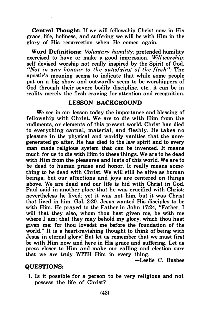Central Thought: If we will fellowship Christ now in His grace, life, holiness, and suffering we will be with Him in the glory of His resurrection when He comes again.

Word Definitions: Voluntary humility: pretended humility exercised to have or make a good impression. Will-worship: self devised worship not really inspired by the Spirit of God. "Not in any honour to the satisfying of the flesh": The apostle's meaning seems to indicate that while some people put on a big show and outwardly seem to be worshippers of God through their severe bodily discipline, etc., it can be in reality merely the flesh craving for attention and recognition.

#### LESSON BACKGROUND

We see in our lesson today the importance and blessing of fellowship with Christ. We are to die with Him from the rudiments, or elements of this present world. Christ has died to everything carnal, material, and fleshly. He takes no pleasure in the physical and worldly vanities that the unregenerated go after. He has died to the law spirit and to every man made religious system that can be invented. It means much for us to die with Him to these things. We are to be dead with Him from the pleasures and lusts of this world. We are to be dead to human praise and honor. It really means something to be dead with Christ. We will still be alive as human beings, but our affections and joys are centered on things above. We are dead and our life is hid with Christ in God. Paul said in another place that he was crucified with Christ: nevertheless he lived; yet it was not him, but it was Christ that lived in him. Gal. 2:20. Jesus wanted His disciples to be with Him. He prayed to the Father in John 17:24, "Father, I will that they also, whom thou hast given me, be with me where I am; that they may behold my glory, which thou hast given me: for thou lovedst me before the foundation of the world." It is a heart-ravishing thought to think of being with Jesus in eternal glory! But let us remember that we must first be with Him now and here in His grace and suffering. Let us press closer to Him and make our calling and election sure that we are truly WITH Him in every thing.

-Leslie C. Busbee

# QUESTIONS:

1. Is it possible for a person to be very religious and not possess the life of Christ?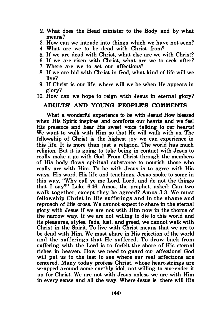- 2. What does the Head minister to the Body and by what means?
- 3. How can we intrude into things which we have not seen?
- 4. What are we to be dead with Christ from?
- 5. If we are dead with Christ, what else are we with Christ?
- 6. If we are risen with Christ, what are we to seek after?
- 7. Where are we to set our affections?
- 8. If we are hid with Christ in God, what kind of life will we live?
- 9. If Christ is our life, where will we be when He appears in glory?
- 10. How can we hope to reign with Jesus in eternal glory?

## ADULTS' AND YOUNG PEOPLE'S COMMENTS

What a wonderful experience to be with Jesus! How blessed when His Spirit inspires and comforts our hearts and we feel His presence and hear His sweet voice talking to our hearts! We want to walk with Him so that He will walk with us. The fellowship of Christ is the highest joy we can experience in this life. It is more than just a religion. The world has much religion. But it is going to take being in contact with Jesus to really make a go with God. From Christ through the members of His body flows spiritual substance to nourish those who really are with Him. To be with Jesus is to agree with His ways, His word, His life and teachings. Jesus spoke to some in this way, "Why call ye me Lord, Lord, and do not the things that I say?" Luke 6:46. Amos, the prophet, asked: Can two walk together, except they be agreed? Amos 3:3. We must fellowship Christ in His sufferings and in the shame and reproach of His cross. We cannot expect to share in the eternal glory with Jesus if we are not with Him now in the thorns of the narrow way. If we are not willing to die to this world and its pleasures, styles, fads, lust, and greed, we cannot walk with Christ in the Spirit. To live with Christ means that we are to be dead with Him. We must share in His rejection of the world and the sufferings that He suffered. To draw back from suffering with the Lord is to forfeit the share of His eternal riches in heaven. How we need to guard our affections! God will put us to the test to see where our real affections are centered. Many today profess Christ, whose heart-strings are wrapped around some earthly idol, not willing to surrender it up for Christ. We are not with Jesus unless we are with Him in every sense and all the way. Where Jesus is, there will His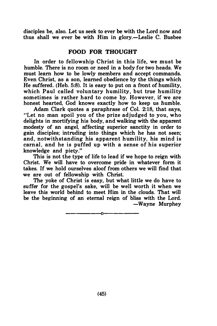disciples be, also. Let us seek to ever be with the Lord now and thus shall we ever be with Him in glory.—Leslie C. Busbee

# FOOD FOR THOUGHT

In order to fellowship Christ in this life, we must be humble. There is no room or need in a body for two heads. We must learn how to be lowly members and accept commands. Even Christ, as a son, learned obedience by the things which He suffered. (Heb. 5:8). It is easy to put on a front of humility, which Paul called voluntary humility, but true humility sometimes is rather hard to come by. However, if we are honest hearted. God knows exactly how to keep us humble.

Adam Clark quotes a paraphrase of Col. 2:18, that says, "Let no man spoil you of the prize adjudged to you, who delights in mortifying his body, and walking with the apparent modesty of an angel, affecting superior sanctity in order to gain disciples; intruding into things which he has not seen; and, notwithstanding his apparent humility, his mind is carnal, and he is puffed up with a sense of his superior knowledge and piety."

This is not the type of life to lead if we hope to reign with Christ. We will have to overcome pride in whatever form it takes. If we hold ourselves aloof from others we will find that we are out of fellowship with Christ.

The yoke of Christ is easy, but what little we do have to suffer for the gospel's sake, will be well worth it when we leave this world behind to meet Him in the clouds. That will be the beginning of an eternal reign of bliss with the Lord. -Wayne Murphey

----------0----------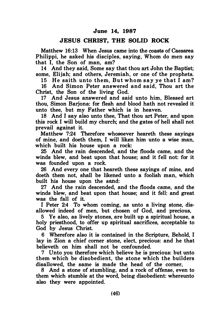#### JESUS CHRIST, THE SOLID ROCK

Matthew 16;13 When Jesus came into the coasts of Caesarea Philippi, he asked his disciples, saying, Whom do men say that I, the Son of man, am?

14 And they said, Some say that thou art John the Baptist; some, Elijah; and others, Jeremiah, or one of the prophets.

15 He saith unto them, But whom say ve that I am?

16 And Simon Peter answered and said, Thou art the Christ, the Son of the living God.

17 And Jesus answered and said unto him, Blessed art thou, Simon Barjona: for flesh and blood hath not revealed it unto thee, but my Father which is in heaven.

18 And I say also unto thee, That thou art Peter, and upon this rock I will build my church; and the gates of hell shall not prevail against it.

Matthew 7;24 Therefore whosoever heareth these sayings of mine, and doeth them, I will liken him unto a wise man, which built his house upon a rock;

25 And the rain descended, and the floods came, and the winds blew, and beat upon that house; and it fell not; for it was founded upon a rock.

26 And every one that heareth these sayings of mine, and doeth them not, shall be likened unto a foolish man, which built his house upon the sand;

27 And the rain descended, and the floods came, and the winds blew, and beat upon that house; and it fell; and great was the fall of it.

I Peter 2:4 To whom coming, as unto a living stone, disallowed indeed of men, but chosen of God, and precious,

5 Ye also, as lively stones, are built up a spiritual house, a holy priesthood, to offer up spiritual sacrifices, acceptable to God by Jesus Christ.

6 Wherefore also it is contained in the Scripture, Behold, I lay in Zion a chief comer stone, elect, precious; and he that believeth on him shall not be confounded.

7 Unto you therefore which believe he is precious: but unto them which be disobedient, the stone which the builders disallowed, the same is made the head of the comer,

8 And a stone of stumbling, and a rock of offense, even to them which stumble at the word, being disobedient; whereunto also they were appointed.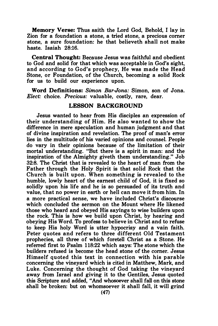Memory Verse: Thus saith the Lord God, Behold, I lay in Zion for a foundation a stone, a tried stone, a precious corner stone, a sure foundation: he that believeth shall not make haste. Isaiah 28:16.

Central Thought: Because Jesus was faithful and obedient to God and solid for that which was acceptable in God's sight, and according to God's prophecy, He was made the Head Stone, or Foundation, of the Church, becoming a solid Rock for us to build our experience upon.

Word Definitions: Simon Bar-Jona: Simon, son of Jona. Elect: choice. Precious: valuable, costly, rare, dear.

# LESSON BACKGROUND

Jesus wanted to hear from His disciples an expression of their understanding of Him. He also wanted to show the difference in mere speculation and human judgment and that of divine inspiration and revelation. The proof of man's error lies in the multitude of his varied opinions and counsel. People do vary in their opinions because of the limitation of their mortal understanding. "But there is a spirit in man: and the inspiration of the Almighty giveth them understanding." Job 32:8. The Christ that is revealed to the heart of man from the Father through the Holy Spirit is that solid Rock that the Church is built upon. When something is revealed to the humble, lowly heart of the earnest child of God, it is fixed so solidly upon his life and he is so persuaded of its truth and value, that no power in earth or hell can move it from him. In a more practical sense, we have included Christ's discourse which concluded the sermon on the Mount where He likened those who heard and obeyed His sayings to wise builders upon the rock. This is how we build upon Christ, by hearing and obeying His Word. To profess to believe in Christ and to refuse to keep His holy Word is utter hypocrisy and a vain faith. Peter quotes and refers to three different Old Testament prophecies, all three of which foretell Christ as a Stone. He referred first to Psalm 118:22 which says: The stone which the builders refused is become the head stone of the corner. Jesus Himself quoted this text in connection with his parable concerning the vineyard which is cited in Matthew, Mark, and Luke. Concerning the thought of God taking the vineyard away from Israel and giving it to the Gentiles, Jesus quoted this Scripture and added, "And whosoever shall fall on this stone shall be broken: but on whomsoever it shall fall, it will grind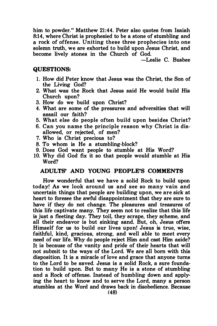him to powder." Matthew 21:44. Peter also quotes from Isaiah 8:14, where Christ is prophesied to be a stone of stumbling and a rock of offense. Uniting these three prophecies into one solemn truth, we are exhorted to build upon Jesus Christ, and become lively stones in the Church of God.

-Leslie C. Busbee

#### QUESTIONS:

- 1. How did Peter know that Jesus was the Christ, the Son of the Living God?
- 2. What was the Rock that Jesus said He would build His Church upon?
- 3. How do we build upon Christ?
- 4. What are some of the pressures and adversities that will assail our faith?
- 5. What else do people often build upon besides Christ?
- 6. Can you name the principle reason why Christ is disallowed, or rejected, of men?
- 7. Who is Christ precious to?
- 8. To whom is He a stumbling-block?
- 9. Does God want people to stumble at His Word?
- 10. Why did God fix it so that people would stumble at His Word?

# ADULTS' AND YOUNG PEOPLE'S COMMENTS

How wonderful that we have a solid Rock to build upon today! As we look around us and see so many vain and uncertain things that people are building upon, we are sick at heart to foresee the awful disappointment that they are sure to have if they do not change. The pleasures and treasures of this life captivate many. They seem not to realize that this life is just a fleeting day. They toil, they scrape, they scheme, and all their endeavor is but sinking sand. But, oh, Jesus offers Himself for us to build our lives upon! Jesus is true, wise, faithful, kind, gracious, strong, and well able to meet every need of our life. Why do people reject Him and cast Him aside? It is because of the vanity and pride of their hearts that will not submit to the ways of the Lord. We are all born with this disposition. It is a miracle of love and grace that anyone turns to the Lord to be saved. Jesus is a solid Rock, a sure foundation to build upon. But to many He is a stone of stumbling and a Rock of offense. Instead of humbling down and applying the heart to know and to serve the Lord, many a person stumbles at the Word and draws back in disobedience. Because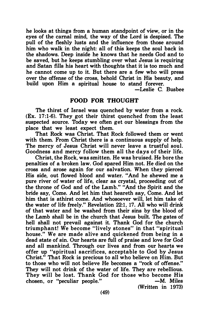he looks at things from a human standpoint of view, or in the eyes of the carnal mind, the way of the Lord is despised. The pull of the fleshly lusts and the influence from those around him who walk in the night: all of this keeps the soul back in the shadows. Deep inside he knows that he needs God and to be saved, but he keeps stumbling over what Jesus is requiring and Satan fills his heart with thoughts that it is too much and he cannot come up to it. But there are a few who will press over the offense of the cross, behold Christ in His beauty, and build upon Him a spiritual house to stand forever.

-Leslie C. Busbee

## FOOD FOR THOUGHT

The thirst of Israel was quenched by water from a rock. (Ex. 17:1-6). They got their thirst quenched from the least suspected source. Today we often get our blessings from the place that we least expect them.

That Rock was Christ. That Rock followed them or went with them. From Christ there is a continuous supply of help. The mercy of Jesus Christ will never leave a trustful soul. Goodness and mercy follow them all the days of their life.

Christ, the Rock, was smitten. He was bruised. He bore the penalties of a broken law. God spared Him not. He died on the cross and arose again for our salvation. When they pierced His side, out flowed blood and water. "And he shewed me a pure river of water of life, clear as crystal, proceeding out of the throne of God and of the Lamb." "And the Spirit and the bride say, Come. And let him that heareth say, Come. And let him that is athirst come. And whosoever will, let him take of the water of life freely." Revelation 22:1, 17. All who will drink of that water and be washed from their sins by the blood of the Lamb shall be in the church that Jesus built. The gates of hell shall not prevail against it. Thank God for the church triumphant! We become "lively stones" in that "spiritual house." We are made alive and quickened from being in a dead state of sin. Our hearts are full of praise and love for God and all mankind. Through our lives and from our hearts we offer up "spiritual sacrifices, acceptable to God by Jesus Christ." That Rock is precious to all who believe on Him. But to those who will not believe He becomes a "rock of offense." They will not drink of the water of life. They are rebellious. They will be lost. Thank God for those who become His chosen, or "peculiar people." -M. Miles

(Written in 1973)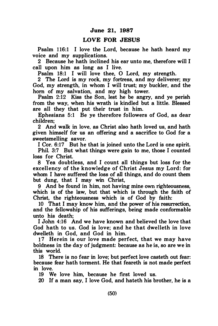# LOVE FOR JESUS

Psalm 116:1 I love the Lord, because he hath heard my voice and my supplications.

2 Because he hath inclined his ear unto me, therefore will I call upon him as long as I live.

Psalm 18:1 I will love thee, O Lord, my strength.

2 The Lord is my rock, my fortress, and my deliverer; my God, my strength, in whom I will trust; my buckler, and the hom of my salvation, and my high tower.

Psalm 2:12 Kiss the Son, lest he be angry, and ye perish from the way, when his wrath is kindled but a little. Blessed are all they that put their trust in him.

Ephesians 5:1 Be ye therefore followers of God, as dear children;

2 And walk in love, as Christ also hath loved us, and hath given himself for us an offering and a sacrifice to God for a sweetsmelling savor.

I Cor. 6:17 But he that is joined unto the Lord is one spirit.

Phil. 3:7 But what things were gain to me, those I counted loss for Christ.

8 Yea doubtless, and I count all things but loss for the excell ency of the knowledge of Christ Jesus my Lord: for whom I have suffered the loss of all things, and do count them but dung, that I may win Christ,

9 And be found in him, not having mine own righteousness, which is of the law, but that which is through the faith of Christ, the righteousness which is of God by faith:

10 That I may know him, and the power of his resurrection, and the fellowship of his sufferings, being made conformable unto his death;

I John 4:16 And we have known and believed the love that God hath to us. God is love; and he that dwelleth in love dwelleth in God, and God in him.

17 Herein is our love made perfect, that we may have boldness in the day of judgment: because as he is, so are we in this world.

18 There is no fear in love; but perfect love casteth out fear: because fear hath torment. He that feareth is not made perfect in love.

19 We love him, because he first loved us.

20 If a man say, I love God, and hateth his brother, he is a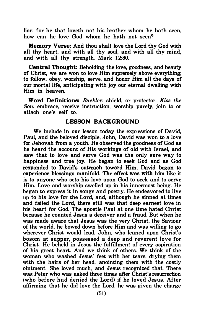liar: for he that loveth not his brother whom he hath seen, how can he love God whom he hath not seen?

Memory Verse: And thou shalt love the Lord thy God with all thy heart, and with all thy soul, and with all thy mind, and with all thy strength. Mark 12:30.

Central Thought: Beholding the love, goodness, and beauty of Christ, we are won to love Him supremely above everything; to follow, obey, worship, serve, and honor Him all the days of our mortal life, anticipating with joy our eternal dwelling with Him in heaven.

Word Definitions: Buckler: shield, or protector. Kiss the Son: embrace, receive instruction, worship purely, join to or attach one's self to.

# LESSON BACKGROUND

We include in our lesson today the expressions of David, Paul, and the beloved disciple, John, David was won to a love for Jehovah from a youth. He observed the goodness of God as he heard the account of His workings of old with Israel, and saw that to love and serve God was the only sure way to happiness and true joy. He began to seek God and as God responded to David's outreach toward Him, David began to experience blessings manifold. The effect was with him like it is to anyone who sets his love upon God to seek and to serve Him. Love and worship swelled up in his innermost being. He began to express it in songs and poetry. He endeavored to live up to his love for the Lord, and, although he sinned at times and failed the Lord, there still was that deep earnest love in his heart for God. The apostle Paul at one time hated Christ because he counted Jesus a deceiver and a fraud. But when he was made aware that Jesus was the very Christ, the Saviour of the world, he bowed down before Him and was willing to go wherever Christ would lead. John, who leaned upon Christ's bosom at supper, possessed a deep and reverent love for Christ. He beheld in Jesus the fulfillment of every aspiration of his great heart. And we think of others. We think of the woman who washed Jesus' feet with her tears, drying them with the hairs of her head, anointing them with the costly ointment. She loved much, and Jesus recognized that. There was Peter who was asked three times after Christ's resurrection (who before had denied the Lord) if he loved Jesus. After affirming that he did love the Lord, he was given the charge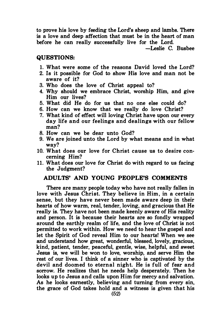to prove his love by feeding the Lord's sheep and lambs. There is a love and deep affection that must be in the heart of man before he can really successfully live for the Lord.

-Leslie C. Busbee

#### QUESTIONS:

- 1. What were some of the reasons David loved the Lord?
- 2. Is it possible for God to show His love and man not be aware of it?
- 3. Who does the love of Christ appeal to?
- 4. Why should we embrace Christ, worship Him, and give Him our lives?
- 5. What did He do for us that no one else could do?
- 6. How can we know that we really do love Christ?
- 7. What kind of effect will loving Christ have upon our every day life and our feelings and dealings with our fellow man?
- 8. How can we be dear unto God?
- 9. We are joined unto the Lord by what means and in what way?
- 10. What does our love for Christ cause us to desire concerning Him?
- 11. What does our love for Christ do with regard to us facing the Judgment?

# ADULTS' AND YOUNG PEOPLE'S COMMENTS

There are many people today who have not really fallen in love with Jesus Christ. They believe in Him, in a certain sense, but they have never been made aware deep in their hearts of how warm, real, tender, loving, and gracious that He really is. They have not been made keenly aware of His reality and person. It is because their hearts are so fondly wrapped around the earthly realm of life, and the love of Christ is not permitted to work within. How we need to hear the gospel and let the Spirit of God reveal Him to our hearts! When we see and understand how great, wonderful, blessed, lovely, gracious, kind, patient, tender, peaceful, gentle, wise, helpful, and sweet Jesus is, we will be won to love, worship, and serve Him the rest of our lives. I think of a sinner who is captivated by the devil and doomed to eternal night. He is full of fear and sorrow. He realizes that he needs help desperately. Then he looks up to Jesus and calls upon Him for mercy and salvation. As he looks earnestly, believing and turning from every sin, the grace of God takes hold and a witness is given that his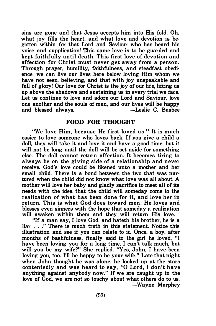sins are gone and that Jesus accepts him into His fold. Oh, what joy fills the heart, and what love and devotion is begotten within for that Lord and Saviour who has heard his voice and supplication! This same love is to be guarded and kept faithfully until death. This first love of devotion and affection for Christ must never get away from a person. Through prayer, humility, faithfulness, and steadfast obedience, we can live our lives here below loving Him whom we have not seen, believing, and that with joy unspeakable and full of glory! Our love for Christ is the joy of our life, lifting us up above the shadows and sustaining us in every trial we face. Let us continue to love and adore our Lord and Saviour, love one another and the souls of men, and our lives will be happy and blessed always. - Caslie C. Busbee

## FOOD FOR THOUGHT

"We love Him, because He first loved us." It is much easier to love someone who loves back. If you give a child a doll, they will take it and love it and have a good time, but it will not be long until the doll will be set aside for something else. The doll cannot return affection. It becomes tiring to always be on the giving side of a relationship and never receive. God's love could be likened unto a mother and her small child. There is a bond between the two that was nurtured when the child did not know what love was all about. A mother will love her baby and gladly sacrifice to meet all of its needs with the idea that the child will someday come to the realization of what has been done for it, and love her in return. This is what God does toward men. He loves and blesses even sinners with the hope that someday a realization will awaken within them and they will return His love.

"If a man say, I love God, and hateth his brother, he is a liar ... " There is much truth in this statement. Notice this illustration and see if you can relate to it. Once, a boy, after months of bashfulness, finally said to the girl he loved, "I have been loving you for a long time. I can't talk much, but will you be my wife?" She replied, "Yes, John, I have been loving you, too. I'll be happy to be your wife." Late that night when John thought he was alone, he looked up at the stars contentedly and was heard to say, "0 Lord, I don't have anything against anybody now." If we are caught up in the love of God, we are not so touchy about what others do to us. -Wayne Murphey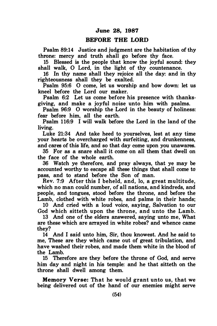#### BEFORE THE LORD

Psalm 89:14 Justice and judgment are the habitation of thy throne: mercy and truth shall go before thy face.

15 Blessed is the people that know the joyful sound: they shall walk, 0 Lord, in the light of thy countenance.

16 In thy name shall they rejoice all the day: and in thy righteousness shall they be exalted.

Psalm 95:6 0 come, let us worship and bow down: let us kneel before the Lord our maker.

Psalm 6:2 Let us come before his presence with thanksgiving, and make a joyful noise unto him with psalms.

Psalm 96:9 O worship the Lord in the beauty of holiness: fear before him, all the earth.

Psalm 1 16:9 I will walk before the Lord in the land of the living.

Luke 21:34 And take heed to yourselves, lest at any time your hearts be overcharged with surfeiting, and drunkenness, and cares of this life, and so that day come upon you unawares.

35 For as a snare shall it come on all them that dwell on the face of the whole earth.

36 Watch ye therefore, and pray always, that ye may be accounted worthy to escape all these things that shall come to pass, and to stand before the Son of man.

Rev. 7:9 After this I beheld, and, lo, a great multitude, which no man could number, of all nations, and kindreds, and people, and tongues, stood before the throne, and before the Lamb, clothed with white robes, and palms in their hands;

10 And cried with a loud voice, saying, Salvation to our God which sitteth upon the throne, and unto the Lamb.

13 And one of the elders answered, saying unto me, What are these which are arrayed in white robes? and whence came they?

14 And I said unto him, Sir, thou knowest. And he said to me, These are they which came out of great tribulation, and have washed their robes, and made them white in the blood of the Lamb.

15 Therefore are they before the throne of God, and serve him day and night in his temple: and he that sitteth on the throne shall dwell among them.

Memory Verse: That he would grant unto us, that we being delivered out of the hand of our enemies might serve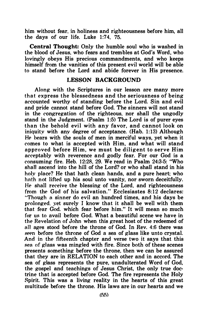him without fear, in holiness and righteousness before him, all the days of our life. Luke 1:74, 75.

Central Thought: Only the humble soul who is washed in the blood of Jesus. who fears and trembles at God, s Word, who lovingly obeys His precious commandments, and who keeps himself from the vanities of this present evil world will be able to stand before the Lord and abide forever in His presence.

# LESSON BACKGROUND

Along with the Scriptures in our lesson are many more that express the blessedness and the seriousness of being accounted worthy of standing before the Lord. Sin and evil and pride cannot stand before God. The sinners will not stand in the congregation of the righteous, nor shall the ungodly stand in the Judgment. (Psalm 1:5) The Lord is of purer eyes than the behold evil with any favor, and cannot look on iniquity with any degree of acceptance. (Hab. 1:13) Although He bears with the souls of men in merciful ways, yet when it comes to what is accepted with Him, and what will stand approved before Him, we must be diligent to serve Him acceptably with reverence and godly fear. For our God is a consuming fire. Heb. 12:28, 29. We read in Psalm 24:3-5: "Who shall ascend into the hill of the Lord? or who shall stand in his holy place? He that hath clean hands, and a pure heart: who hnth not lifted up his soul unto vanity, nor sworn deceitfully. He shall receive the blessing of the Lord, and righteousness from the God of his salvation." Ecclesiastes  $8:12$  declares: "Though a sinner do evil an hundred times, and his days be prolonged, yet surely I know that it shall be well with them that fear God. which fear before him." It will mean so much for us to avail before God. What a beautiful scene we have in the Revelation of John when this great host of the redeemed of a11 ages stood before the throne of God. In Rev. 4:6 there was seen before the throne of God a sea of glass like unto crystal. And in the fifteenth chapter and verse two it says that this sea of glass was mingled with fire. Since both of these scenes presents something before the throne, then we can be assured that they are in RELATION to each other and in accord. The sea of glass represents the pure, unadulterated Word of God, the gospel and teachings of Jesus Christ, the only true doctrine that is accepted before God. The fire represents the Holy Spirit. This was a living reality in the hearts of this great multitude before the throne. His laws are in our hearts and we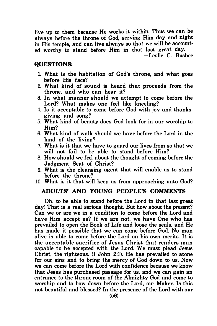live up to them because He works it within. Thus we can be always before the throne of God, serving Him day and night in His temple, and can live always so that we will be accounted worthy to stand before Him in that last great day.

-Leslie C. Busbee

# QUESTIONS:

- 1. What is the habitation of God's throne, and what goes before His face?
- 2. What kind of sound is heard that proceeds from the throne, and who can hear it?
- 3. In what manner should we attempt to come before the Lord? What makes one feel like kneeling?
- 4. Is it acceptable to come before God with joy and thanksgiving and song?
- 5. What kind of beauty does God look for in our worship to Him?
- 6. What kind of walk should we have before the Lord in the land of the living?
- 7. What is it that we have to guard our lives from so that we will not fail to be able to stand before Him?
- B. How should we feel about the thought of coming before the Judgment Seat of Christ?
- 9. What is the cleansing agent that will enable us to stand before the throne?
- 10. What is it that will keep us from approaching unto God?

# ADULTS' AND YOUNG PEOPLE'S COMMENTS

Oh, to be able to stand before the Lord in that last great day! That is a real serious thought. But how about the present? Can we or are we in a condition to come before the Lord and have Him accept us? If we are not, we have One who has prevailed to open the Book of Life and loose the seals, and He has made it possible that we can come before God. No man alive is able to come before the Lord on his own merits. It is the acceptable sacrifice of Jesus Christ that renders man capable to be accepted with the Lord. We must plead Jesus Christ, the righteous. (I John 2:1). He has prevailed to atone for our sins and to bring the mercy of God down to us. Now we can come before the Lord with confidence because we know that Jesus has purchased passage for us, and we can gain an entrance to the throne room of the Almighty God and come to worship and to bow down before the Lord, our Maker. Is this not beautiful and blessed? In the presence of the Lord with our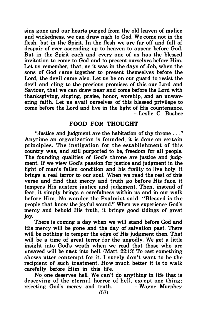sins gone and our hearts purged from the old leaven of malice and wickedness, we can draw nigh to God. We come not in the flesh, but in the Spirit. In the flesh we are far off and full of despair of ever ascending up to heaven to appear before God. But in the Spirit each and every one of us has the blessed invitation to come to God and to present ourselves before Him. Let us remember, that, as it was in the days of Job, when the sons of God came together to present themselves before the Lord, the devil came also. Let us be on our guard to resist the devil and cling to the precious promises of this our Lord and Saviour, that we can draw near and come before the Lord with thanksgiving, singing, praise, honor, worship, and an unwavering faith. Let us avail ourselves of this blessed privilege to come before the Lord and live in the light of His countenance. -Leslie C. Busbee

## FOOD FOR THOUGHT

"Justice and judgment are the habitation of thy throne ... " Anytime an organization is founded, it is done on certain principles. The instigation for the establishment of this country was, and still purported to be, freedom for all people. The founding qualities of God's throne are justice and judgment. If we view God's passion for justice and judgment in the light of man's fallen condition and his frailty to live holy, it brings a real terror to our soul. When we read the rest of this verse and find that mercy and truth go before His face. it tempers His austere justice and judgment. Then. instead of fear, it simply brings a carefulness within us and in our walk before Him. No wonder the Psalmist said, "Blessed is the people that know the joyful sound." When we experience God's mercy and behold His truth. it brings good tidings of great joy.

There is coming a day when we will stand before God and His mercy wil1 be gone and the day of salvation past. There will be nothing to temper the edge of His judgment then. That will be a time of great terror for the ungodly. We get a little insight into God's wrath when we read that those who are unsaved will be cast into hell. (Matt. 22:13) To cast something shows utter contempt for it. I surely don't want to be the recipient of such treatment. How much better it is to walk carefully before Him in this life.

No one deserves hell. We can't do anything in life that is deserving of the eternal horror of hell, except one thing: rejecting God's mercy and truth.  $-Wavne$  Murphey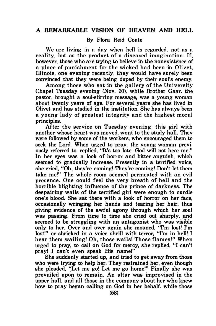# By Flora Reid Coate

We are living in a day when hell is regarded. not as a reality, but as the product of a diseased imagination. If. however, those who are trying to believe in the nonexistence of a place of punishment for the wicked had been in Olivet. Illinois, one evening recently, they would have surely been convinced that they were being duped by their soul's enemy.

Among those who sat in the gallery of the University Chapel Tuesday evening (Nov. 30). while Brother Gaar. the pastor, brought a soul-stirring message, was a young woman about twenty years of age. For several years she has lived in Olivet and has studied in the institution. She has always been a young lady of greatest integrity and the highest moral principles.

After the service on Tuesday evening, this girl with another whose heart was moved, went to the study hall. They were followed by some of the workers, who encouraged them to seek the Lord. When urged to pray, the young woman previously referred to, replied, "It's too late. God will not hear me." In her eyes was a look of horror and bitter anguish, which seemed to gradually increase. Presently in a terrified voice, she cried, "Oh, they're coming! They're coming! Don't let them take me!" The whole room seemed permeated with an evil presence. One could feel the very breath of hell and the horrible blighting influence of the prince of darkness. The despairing wails of the terrified girl were enough to curdle one's blood. She sat there with a look of horror on her face, occasionally wringing her hands and tearing her hair, thus giving evidence of the awful agony through which her soul was passing. From time to time she cried out sharply, and seemed to be struggling with an antagonist who was visible only to her. Over and over again she moaned, "I'm lost! I'm lost!" or shrieked in a voice shrill with terror, "I'm in hell! I hear them wailing! Oh, those wails! Those flames!" When urged to pray, to call on God for mercy, she replied, "I can't pray! I can't even speak His name!"

She suddenly started up, and tried to get away from those who were trying to help her. They restrained her, even though she pleaded, "Let me go! Let me go home!" Finally she was prevailed upon to remain. An altar was improvised in the upper hall, and all those in the company about her who knew how to pray began calling on God in her behalf. while those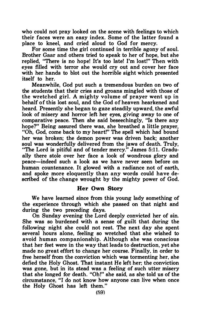who could not pray looked on the scene with feelings to which their faces were an easy index. Some of the latter found a place to kneel, and cried aloud to God for mercy.

For some time the girl continued in terrible agony of soul. Brother Gaar and others tried to speak to her of hope, but she replied, "There is no hope! It's too late! I'm lost!" Then with eyes filled with terror she would cry out and cover her face with her hands to blot out the horrible sight which presented itself to her.

Meanwhile, God put such a tremendous burden on two of the students that their cries and groans mingled with those of the wretched girl. A mighty volume of prayer went up in behalf of this lost soul, and the God of heaven hearkened and heard. Presently she began to gaze steadily upward, the awful look of misery and horror left her eyes, giving away to one of comparative peace. Then she said beseechingly, "Is there any hope?" Being assured there was, she breathed a little prayer, "Oh, God, come back to my heart!" The spell which had bound her was broken; the demon power was driven back; another soul was wonderfully delivered from the jaws of death. Truly, "The Lord is pitiful and of tender mercy." James 5:11. GradualJy there stole over her face a look of wondrous glory and peace-indeed such a look as we have never seen before on human countenance. It glowed with a radiance not of earth, and spoke more eloquently than any words could have described of the change wrought by the mighty power of God.

## Her Own Story

We have learned since from this young lady something of the experience through which she passed on that night and during the two preceding days.

On Sunday evening the Lord deeply convicted her of sin. She was so burdened with a sense of guilt that during the following night she could not rest. The next day she spent several hours alone, feeling so wretched that she wished to avoid human companionship. Although she was conscious that her feet were in the way that leads to destruction, yet she made no great effort to change her course. Finally, in order to free herself from the conviction which was tormenting her, she defied the Holy Ghost. That instant He left her: the conviction was gone, but in its stead was a feeling of such utter misery that she longed for death. "Oh!" she said, as she told us of the circumstance, "I do not know how anyone can live when once the Holy Ghost has left them."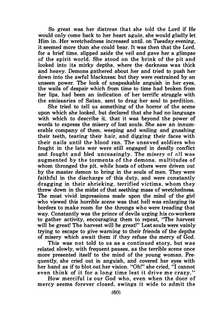So great was her distress that she told the Lord if He would only come back to her heart again, she would gladly let Him in. Her wretchedness increased until. on Tuesday evening, it seemed more than she could bear. It was then that the Lord. for a brief time. slipped aside the veil and gave her a glimpse of the spirit world. She stood on the brink of the pit and looked into its mirky depths, where the darkness was thick and heavy. Demons gathered about her and tried to push her down into the awful blackness: but they were restrained by an unseen power. The look of unspeakable anguish in her eyes, the wails of despair which from time to time had broken from her lips, had been an indication of her terrific struggle with the emissaries of Satan, sent to drag her soul to perdition.

She tried to tell us something of the horror of the scene upon which she looked, but declared that she had no language with which to describe it, that it was beyond the power of words to express the misery of lost souls. She saw an innumerable company of them, weeping and wailing and gnashing their teeth, tearing their hair, and digging their faces with their nails until the blood ran. The unsaved soldiers who fought in the late war were still engaged in deadly conflict and fought and bled unceasingly. The misery of all was augmented by the torments of the demons, multitudes of whom thronged the pit. while hosts of others were driven out by the master demon to bring in the souls of men. They were faithful in the discharge of this duty, and were constantly dragging in their shrieking. terrified victims, whom they threw down in the midst of that seething mass of wretchedness. The most vivid impressions made upon the mind of the girl who viewed this horrible scene was that hell was enlarging its borders to make room for the throngs who were treading that way. Constantly was the prince of devils urging his co-workers to gather activity, encouraging them to repeat, "The harvest will be great! The harvest will be great!" Lost souls were vainly trying to escape to give warning to their friends of the depths of misery which await them if they refuse the mercy of God.

This was not told to us as a continued story, but was related slowly, with frequent pauses, as the terrible scene once more presented itself to the mind of the young woman. Frequently, she cried out in anguish, and covered her eyes with her hand as if to blot out her vision. "Oh!" she cried, "I cannot even think of it for a long time lest it drive me crazy."

How merciful is our God who, even when the door of mercy seems forever closed, swings it wide to admit the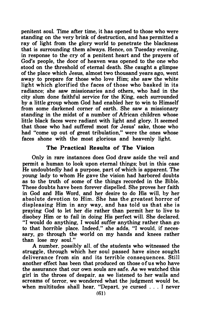penitent soul. Time after time, it has opened to those who were standing on the very brink of destruction, and has permitted a ray of light from the glory world to penetrate the blackness that is surrounding them always. Hence, on Tuesday evening, in response to the cry of a penitent heart and the prayers of God's people, the door of heaven was opened to the one who stood on the threshold of eternal death. She caught a glimpse of the place which Jesus, almost two thousand years ago, went away to prepare for those who love Him; she saw the white light which glorified the faces of those who basked in its radiance; she saw missionaries and others, who had in the city slum done faithful service for the King, each surrounded by a little group whom God had enabled her to win to Himself from some darkened corner of earth. She saw a missionary standing in the midst of a number of African children whose little black faces were radiant with light and glory. It seemed that those who had suffered most for Jesus' sake, those who had "come up out of great tribulation," were the ones whose faces shone with the most glorious and heavenly light.

#### The Practical Results of The Vision

Only in rare instances does God draw aside the veil and permit a human to look upon eternal things: but in this case He undoubtedly had a purpose, part of which is apparent. The young lady to whom He gave the vision had harbored doubts as to the truth of some of the things recorded in the Bible. These doubts have been forever dispelled. She proves her faith in God and His Word, and her desire to do His will, by her absolute devotion to Him. She has the greatest horror of displeasing Him in any way, and has told us that she is praying God to let her die rather than permit her to live to disobey Him or to fail in doing His perfect will. She declared. "I would do anything, I would suffer anything rather than go to that horrible place. Indeed," she adds. "I would. if necessary, go through the world on my hands and knees rather than lose my soul."

A number. possibly all, of the students who witnessed the struggle, through which her soul passed have since sought deliverance from sin and its terrible consequences. Still another effect has been that produced on those of us who have the assurance that our own souls are safe. As we watched this girl in the throes of despair. as we listened to her wails and screams of terror. we wondered what the judgment would be. when multitudes shall hear. "Depart. ye cursed . . . I never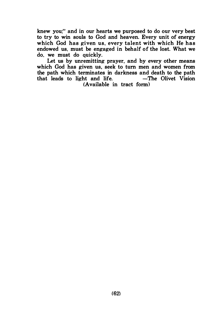knew you:" and in our hearts we purposed to do our very best to try to win souls to God and heaven. Every unit of energy which God has given us, every talent with which He has endowed us, must be engaged in behalf of the lost. What we do, we must do quickly.

Let us by unremitting prayer, and by every other means which God has given us, seek to turn men and women from the path which terminates in darkness and death to the path<br>that leads to light and life. -The Olivet Vision that leads to light and life. (Available in tract form)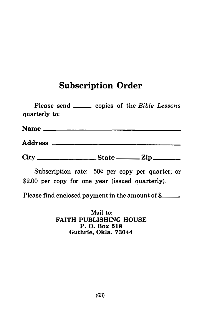# Subscription Order

| <b>Subscription Order</b>                                        |
|------------------------------------------------------------------|
| Please send _______ copies of the Bible Lessons<br>quarterly to: |
|                                                                  |
|                                                                  |
|                                                                  |
| Subscription rate: 50¢ per copy per quarter; or                  |

Subscription rate: 50¢ per copy per quarter; or \$2.00 per copy for one year (issued quarterly).

Please find enclosed payment in the amount of  $\ell$ 

Mail to: FAITH PUBLISHING HOUSE P. 0. Box 518 Guthrie, Okla. 73044